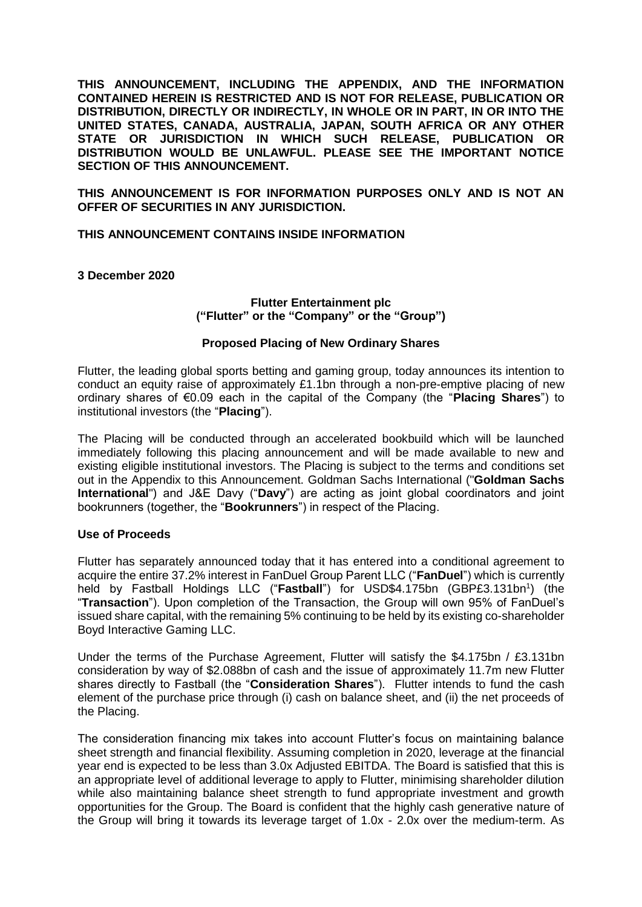**THIS ANNOUNCEMENT, INCLUDING THE APPENDIX, AND THE INFORMATION CONTAINED HEREIN IS RESTRICTED AND IS NOT FOR RELEASE, PUBLICATION OR DISTRIBUTION, DIRECTLY OR INDIRECTLY, IN WHOLE OR IN PART, IN OR INTO THE UNITED STATES, CANADA, AUSTRALIA, JAPAN, SOUTH AFRICA OR ANY OTHER STATE OR JURISDICTION IN WHICH SUCH RELEASE, PUBLICATION OR DISTRIBUTION WOULD BE UNLAWFUL. PLEASE SEE THE IMPORTANT NOTICE SECTION OF THIS ANNOUNCEMENT.**

**THIS ANNOUNCEMENT IS FOR INFORMATION PURPOSES ONLY AND IS NOT AN OFFER OF SECURITIES IN ANY JURISDICTION.**

### **THIS ANNOUNCEMENT CONTAINS INSIDE INFORMATION**

**3 December 2020**

# **Flutter Entertainment plc ("Flutter" or the "Company" or the "Group")**

#### **Proposed Placing of New Ordinary Shares**

Flutter, the leading global sports betting and gaming group, today announces its intention to conduct an equity raise of approximately £1.1bn through a non-pre-emptive placing of new ordinary shares of €0.09 each in the capital of the Company (the "**Placing Shares**") to institutional investors (the "**Placing**").

The Placing will be conducted through an accelerated bookbuild which will be launched immediately following this placing announcement and will be made available to new and existing eligible institutional investors. The Placing is subject to the terms and conditions set out in the Appendix to this Announcement. Goldman Sachs International ("**Goldman Sachs International**") and J&E Davy ("**Davy**") are acting as joint global coordinators and joint bookrunners (together, the "**Bookrunners**") in respect of the Placing.

#### **Use of Proceeds**

Flutter has separately announced today that it has entered into a conditional agreement to acquire the entire 37.2% interest in FanDuel Group Parent LLC ("**FanDuel**") which is currently held by Fastball Holdings LLC ("Fastball") for USD\$4.175bn (GBP£3.131bn<sup>1</sup>) (the "**Transaction**"). Upon completion of the Transaction, the Group will own 95% of FanDuel's issued share capital, with the remaining 5% continuing to be held by its existing co-shareholder Boyd Interactive Gaming LLC.

Under the terms of the Purchase Agreement, Flutter will satisfy the \$4.175bn / £3.131bn consideration by way of \$2.088bn of cash and the issue of approximately 11.7m new Flutter shares directly to Fastball (the "**Consideration Shares**"). Flutter intends to fund the cash element of the purchase price through (i) cash on balance sheet, and (ii) the net proceeds of the Placing.

The consideration financing mix takes into account Flutter's focus on maintaining balance sheet strength and financial flexibility. Assuming completion in 2020, leverage at the financial year end is expected to be less than 3.0x Adjusted EBITDA. The Board is satisfied that this is an appropriate level of additional leverage to apply to Flutter, minimising shareholder dilution while also maintaining balance sheet strength to fund appropriate investment and growth opportunities for the Group. The Board is confident that the highly cash generative nature of the Group will bring it towards its leverage target of 1.0x - 2.0x over the medium-term. As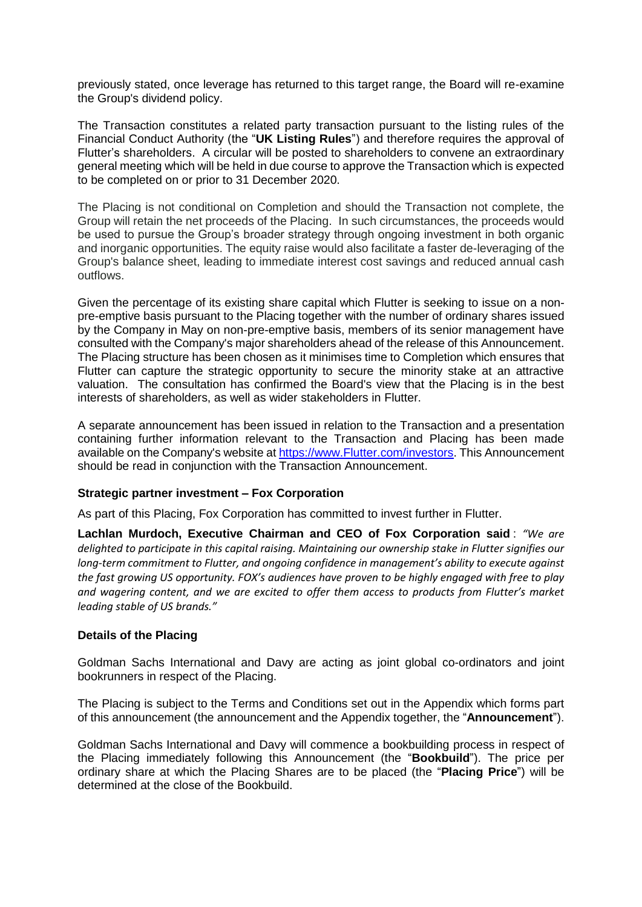previously stated, once leverage has returned to this target range, the Board will re-examine the Group's dividend policy.

The Transaction constitutes a related party transaction pursuant to the listing rules of the Financial Conduct Authority (the "**UK Listing Rules**") and therefore requires the approval of Flutter's shareholders. A circular will be posted to shareholders to convene an extraordinary general meeting which will be held in due course to approve the Transaction which is expected to be completed on or prior to 31 December 2020.

The Placing is not conditional on Completion and should the Transaction not complete, the Group will retain the net proceeds of the Placing. In such circumstances, the proceeds would be used to pursue the Group's broader strategy through ongoing investment in both organic and inorganic opportunities. The equity raise would also facilitate a faster de-leveraging of the Group's balance sheet, leading to immediate interest cost savings and reduced annual cash outflows.

Given the percentage of its existing share capital which Flutter is seeking to issue on a nonpre-emptive basis pursuant to the Placing together with the number of ordinary shares issued by the Company in May on non-pre-emptive basis, members of its senior management have consulted with the Company's major shareholders ahead of the release of this Announcement. The Placing structure has been chosen as it minimises time to Completion which ensures that Flutter can capture the strategic opportunity to secure the minority stake at an attractive valuation. The consultation has confirmed the Board's view that the Placing is in the best interests of shareholders, as well as wider stakeholders in Flutter.

A separate announcement has been issued in relation to the Transaction and a presentation containing further information relevant to the Transaction and Placing has been made available on the Company's website a[t https://www.Flutter.com/investors.](https://www.flutter.com/investors) This Announcement should be read in conjunction with the Transaction Announcement.

#### **Strategic partner investment – Fox Corporation**

As part of this Placing, Fox Corporation has committed to invest further in Flutter.

**Lachlan Murdoch, Executive Chairman and CEO of Fox Corporation said** : *"We are delighted to participate in this capital raising. Maintaining our ownership stake in Flutter signifies our long-term commitment to Flutter, and ongoing confidence in management's ability to execute against the fast growing US opportunity. FOX's audiences have proven to be highly engaged with free to play and wagering content, and we are excited to offer them access to products from Flutter's market leading stable of US brands."*

# **Details of the Placing**

Goldman Sachs International and Davy are acting as joint global co-ordinators and joint bookrunners in respect of the Placing.

The Placing is subject to the Terms and Conditions set out in the Appendix which forms part of this announcement (the announcement and the Appendix together, the "**Announcement**").

Goldman Sachs International and Davy will commence a bookbuilding process in respect of the Placing immediately following this Announcement (the "**Bookbuild**"). The price per ordinary share at which the Placing Shares are to be placed (the "**Placing Price**") will be determined at the close of the Bookbuild.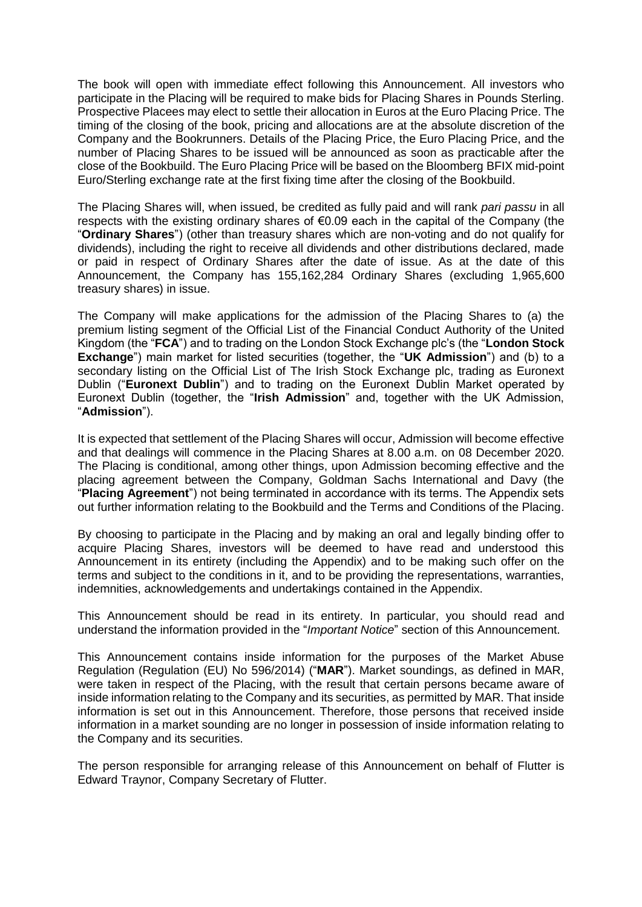The book will open with immediate effect following this Announcement. All investors who participate in the Placing will be required to make bids for Placing Shares in Pounds Sterling. Prospective Placees may elect to settle their allocation in Euros at the Euro Placing Price. The timing of the closing of the book, pricing and allocations are at the absolute discretion of the Company and the Bookrunners. Details of the Placing Price, the Euro Placing Price, and the number of Placing Shares to be issued will be announced as soon as practicable after the close of the Bookbuild. The Euro Placing Price will be based on the Bloomberg BFIX mid-point Euro/Sterling exchange rate at the first fixing time after the closing of the Bookbuild.

The Placing Shares will, when issued, be credited as fully paid and will rank *pari passu* in all respects with the existing ordinary shares of  $\epsilon$ 0.09 each in the capital of the Company (the "**Ordinary Shares**") (other than treasury shares which are non-voting and do not qualify for dividends), including the right to receive all dividends and other distributions declared, made or paid in respect of Ordinary Shares after the date of issue. As at the date of this Announcement, the Company has 155,162,284 Ordinary Shares (excluding 1,965,600 treasury shares) in issue.

The Company will make applications for the admission of the Placing Shares to (a) the premium listing segment of the Official List of the Financial Conduct Authority of the United Kingdom (the "**FCA**") and to trading on the London Stock Exchange plc's (the "**London Stock Exchange**") main market for listed securities (together, the "**UK Admission**") and (b) to a secondary listing on the Official List of The Irish Stock Exchange plc, trading as Euronext Dublin ("**Euronext Dublin**") and to trading on the Euronext Dublin Market operated by Euronext Dublin (together, the "**Irish Admission**" and, together with the UK Admission, "**Admission**").

It is expected that settlement of the Placing Shares will occur, Admission will become effective and that dealings will commence in the Placing Shares at 8.00 a.m. on 08 December 2020. The Placing is conditional, among other things, upon Admission becoming effective and the placing agreement between the Company, Goldman Sachs International and Davy (the "**Placing Agreement**") not being terminated in accordance with its terms. The Appendix sets out further information relating to the Bookbuild and the Terms and Conditions of the Placing.

By choosing to participate in the Placing and by making an oral and legally binding offer to acquire Placing Shares, investors will be deemed to have read and understood this Announcement in its entirety (including the Appendix) and to be making such offer on the terms and subject to the conditions in it, and to be providing the representations, warranties, indemnities, acknowledgements and undertakings contained in the Appendix.

This Announcement should be read in its entirety. In particular, you should read and understand the information provided in the "*Important Notice*" section of this Announcement.

This Announcement contains inside information for the purposes of the Market Abuse Regulation (Regulation (EU) No 596/2014) ("**MAR**"). Market soundings, as defined in MAR, were taken in respect of the Placing, with the result that certain persons became aware of inside information relating to the Company and its securities, as permitted by MAR. That inside information is set out in this Announcement. Therefore, those persons that received inside information in a market sounding are no longer in possession of inside information relating to the Company and its securities.

The person responsible for arranging release of this Announcement on behalf of Flutter is Edward Traynor, Company Secretary of Flutter.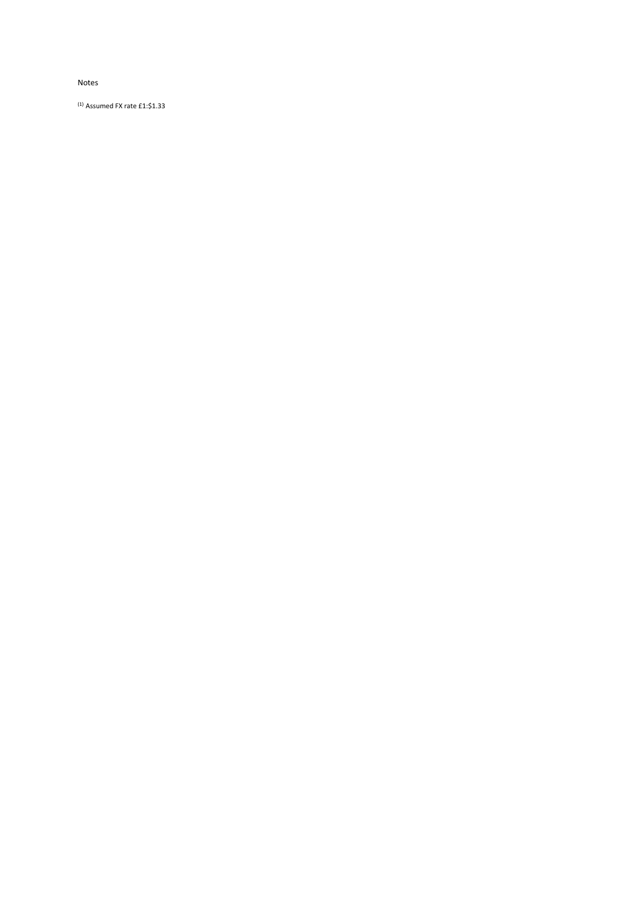#### Notes

(1) Assumed FX rate £1:\$1.33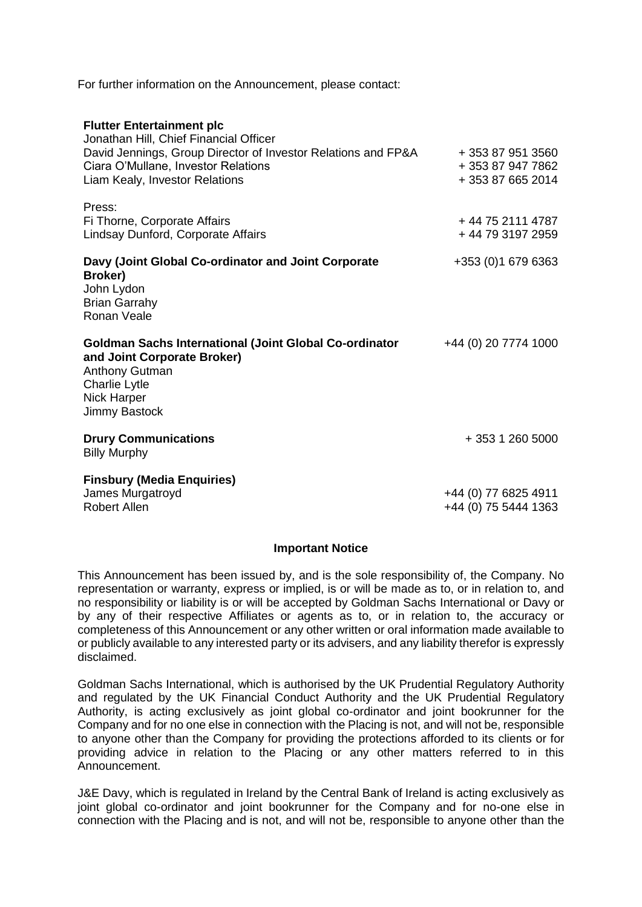For further information on the Announcement, please contact:

| <b>Flutter Entertainment plc</b><br>Jonathan Hill, Chief Financial Officer<br>David Jennings, Group Director of Investor Relations and FP&A<br>Ciara O'Mullane, Investor Relations<br>Liam Kealy, Investor Relations | + 353 87 951 3560<br>+ 353 87 947 7862<br>+353876652014 |
|----------------------------------------------------------------------------------------------------------------------------------------------------------------------------------------------------------------------|---------------------------------------------------------|
| Press:<br>Fi Thorne, Corporate Affairs<br>Lindsay Dunford, Corporate Affairs                                                                                                                                         | + 44 75 2111 4787<br>+44 79 3197 2959                   |
| Davy (Joint Global Co-ordinator and Joint Corporate<br>Broker)<br>John Lydon<br><b>Brian Garrahy</b><br>Ronan Veale                                                                                                  | +353 (0) 1 679 6363                                     |
| <b>Goldman Sachs International (Joint Global Co-ordinator</b><br>and Joint Corporate Broker)<br>Anthony Gutman<br><b>Charlie Lytle</b><br><b>Nick Harper</b><br>Jimmy Bastock                                        | +44 (0) 20 7774 1000                                    |
| <b>Drury Communications</b><br><b>Billy Murphy</b>                                                                                                                                                                   | + 353 1 260 5000                                        |
| <b>Finsbury (Media Enquiries)</b><br>James Murgatroyd<br><b>Robert Allen</b>                                                                                                                                         | +44 (0) 77 6825 4911<br>+44 (0) 75 5444 1363            |

# **Important Notice**

This Announcement has been issued by, and is the sole responsibility of, the Company. No representation or warranty, express or implied, is or will be made as to, or in relation to, and no responsibility or liability is or will be accepted by Goldman Sachs International or Davy or by any of their respective Affiliates or agents as to, or in relation to, the accuracy or completeness of this Announcement or any other written or oral information made available to or publicly available to any interested party or its advisers, and any liability therefor is expressly disclaimed.

Goldman Sachs International, which is authorised by the UK Prudential Regulatory Authority and regulated by the UK Financial Conduct Authority and the UK Prudential Regulatory Authority, is acting exclusively as joint global co-ordinator and joint bookrunner for the Company and for no one else in connection with the Placing is not, and will not be, responsible to anyone other than the Company for providing the protections afforded to its clients or for providing advice in relation to the Placing or any other matters referred to in this Announcement.

J&E Davy, which is regulated in Ireland by the Central Bank of Ireland is acting exclusively as joint global co-ordinator and joint bookrunner for the Company and for no-one else in connection with the Placing and is not, and will not be, responsible to anyone other than the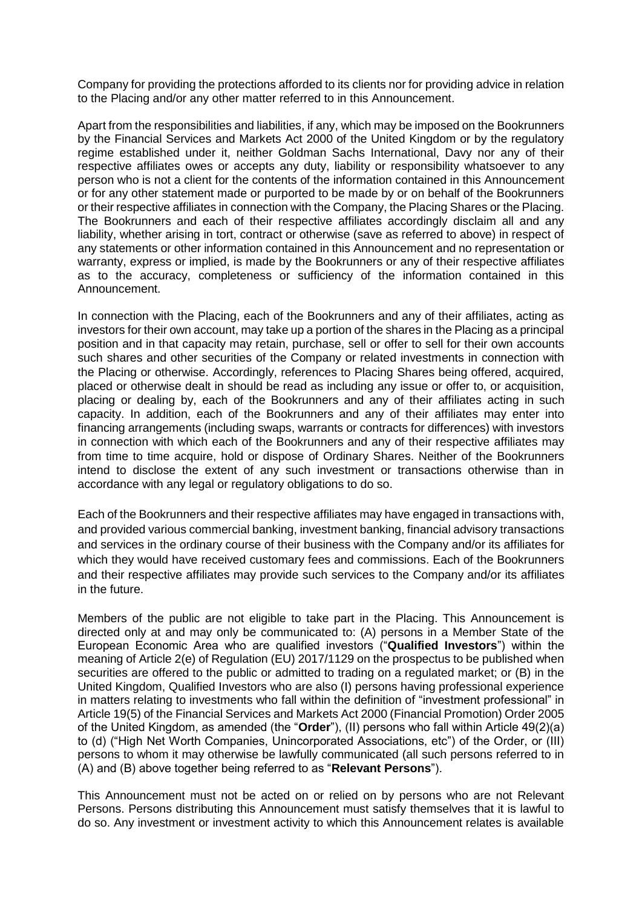Company for providing the protections afforded to its clients nor for providing advice in relation to the Placing and/or any other matter referred to in this Announcement.

Apart from the responsibilities and liabilities, if any, which may be imposed on the Bookrunners by the Financial Services and Markets Act 2000 of the United Kingdom or by the regulatory regime established under it, neither Goldman Sachs International, Davy nor any of their respective affiliates owes or accepts any duty, liability or responsibility whatsoever to any person who is not a client for the contents of the information contained in this Announcement or for any other statement made or purported to be made by or on behalf of the Bookrunners or their respective affiliates in connection with the Company, the Placing Shares or the Placing. The Bookrunners and each of their respective affiliates accordingly disclaim all and any liability, whether arising in tort, contract or otherwise (save as referred to above) in respect of any statements or other information contained in this Announcement and no representation or warranty, express or implied, is made by the Bookrunners or any of their respective affiliates as to the accuracy, completeness or sufficiency of the information contained in this Announcement.

In connection with the Placing, each of the Bookrunners and any of their affiliates, acting as investors for their own account, may take up a portion of the shares in the Placing as a principal position and in that capacity may retain, purchase, sell or offer to sell for their own accounts such shares and other securities of the Company or related investments in connection with the Placing or otherwise. Accordingly, references to Placing Shares being offered, acquired, placed or otherwise dealt in should be read as including any issue or offer to, or acquisition, placing or dealing by, each of the Bookrunners and any of their affiliates acting in such capacity. In addition, each of the Bookrunners and any of their affiliates may enter into financing arrangements (including swaps, warrants or contracts for differences) with investors in connection with which each of the Bookrunners and any of their respective affiliates may from time to time acquire, hold or dispose of Ordinary Shares. Neither of the Bookrunners intend to disclose the extent of any such investment or transactions otherwise than in accordance with any legal or regulatory obligations to do so.

Each of the Bookrunners and their respective affiliates may have engaged in transactions with, and provided various commercial banking, investment banking, financial advisory transactions and services in the ordinary course of their business with the Company and/or its affiliates for which they would have received customary fees and commissions. Each of the Bookrunners and their respective affiliates may provide such services to the Company and/or its affiliates in the future.

Members of the public are not eligible to take part in the Placing. This Announcement is directed only at and may only be communicated to: (A) persons in a Member State of the European Economic Area who are qualified investors ("**Qualified Investors**") within the meaning of Article 2(e) of Regulation (EU) 2017/1129 on the prospectus to be published when securities are offered to the public or admitted to trading on a regulated market; or (B) in the United Kingdom, Qualified Investors who are also (I) persons having professional experience in matters relating to investments who fall within the definition of "investment professional" in Article 19(5) of the Financial Services and Markets Act 2000 (Financial Promotion) Order 2005 of the United Kingdom, as amended (the "**Order**"), (II) persons who fall within Article 49(2)(a) to (d) ("High Net Worth Companies, Unincorporated Associations, etc") of the Order, or (III) persons to whom it may otherwise be lawfully communicated (all such persons referred to in (A) and (B) above together being referred to as "**Relevant Persons**").

This Announcement must not be acted on or relied on by persons who are not Relevant Persons. Persons distributing this Announcement must satisfy themselves that it is lawful to do so. Any investment or investment activity to which this Announcement relates is available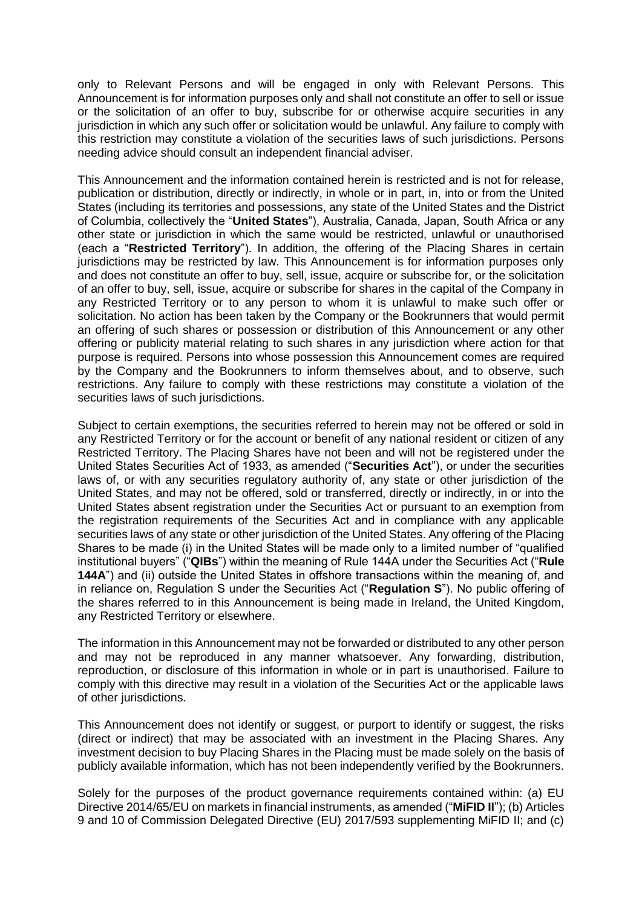only to Relevant Persons and will be engaged in only with Relevant Persons. This Announcement is for information purposes only and shall not constitute an offer to sell or issue or the solicitation of an offer to buy, subscribe for or otherwise acquire securities in any jurisdiction in which any such offer or solicitation would be unlawful. Any failure to comply with this restriction may constitute a violation of the securities laws of such jurisdictions. Persons needing advice should consult an independent financial adviser.

This Announcement and the information contained herein is restricted and is not for release, publication or distribution, directly or indirectly, in whole or in part, in, into or from the United States (including its territories and possessions, any state of the United States and the District of Columbia, collectively the "**United States**"), Australia, Canada, Japan, South Africa or any other state or jurisdiction in which the same would be restricted, unlawful or unauthorised (each a "**Restricted Territory**"). In addition, the offering of the Placing Shares in certain jurisdictions may be restricted by law. This Announcement is for information purposes only and does not constitute an offer to buy, sell, issue, acquire or subscribe for, or the solicitation of an offer to buy, sell, issue, acquire or subscribe for shares in the capital of the Company in any Restricted Territory or to any person to whom it is unlawful to make such offer or solicitation. No action has been taken by the Company or the Bookrunners that would permit an offering of such shares or possession or distribution of this Announcement or any other offering or publicity material relating to such shares in any jurisdiction where action for that purpose is required. Persons into whose possession this Announcement comes are required by the Company and the Bookrunners to inform themselves about, and to observe, such restrictions. Any failure to comply with these restrictions may constitute a violation of the securities laws of such jurisdictions.

Subject to certain exemptions, the securities referred to herein may not be offered or sold in any Restricted Territory or for the account or benefit of any national resident or citizen of any Restricted Territory. The Placing Shares have not been and will not be registered under the United States Securities Act of 1933, as amended ("**Securities Act**"), or under the securities laws of, or with any securities regulatory authority of, any state or other jurisdiction of the United States, and may not be offered, sold or transferred, directly or indirectly, in or into the United States absent registration under the Securities Act or pursuant to an exemption from the registration requirements of the Securities Act and in compliance with any applicable securities laws of any state or other jurisdiction of the United States. Any offering of the Placing Shares to be made (i) in the United States will be made only to a limited number of "qualified institutional buyers" ("**QIBs**") within the meaning of Rule 144A under the Securities Act ("**Rule 144A**") and (ii) outside the United States in offshore transactions within the meaning of, and in reliance on, Regulation S under the Securities Act ("**Regulation S**"). No public offering of the shares referred to in this Announcement is being made in Ireland, the United Kingdom, any Restricted Territory or elsewhere.

The information in this Announcement may not be forwarded or distributed to any other person and may not be reproduced in any manner whatsoever. Any forwarding, distribution, reproduction, or disclosure of this information in whole or in part is unauthorised. Failure to comply with this directive may result in a violation of the Securities Act or the applicable laws of other jurisdictions.

This Announcement does not identify or suggest, or purport to identify or suggest, the risks (direct or indirect) that may be associated with an investment in the Placing Shares. Any investment decision to buy Placing Shares in the Placing must be made solely on the basis of publicly available information, which has not been independently verified by the Bookrunners.

Solely for the purposes of the product governance requirements contained within: (a) EU Directive 2014/65/EU on markets in financial instruments, as amended ("**MiFID II**"); (b) Articles 9 and 10 of Commission Delegated Directive (EU) 2017/593 supplementing MiFID II; and (c)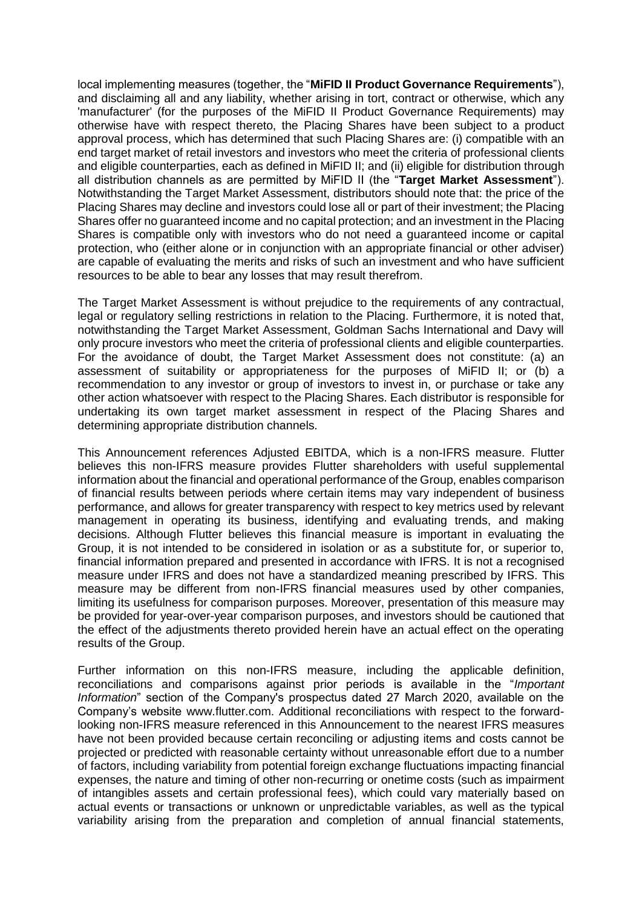local implementing measures (together, the "**MiFID II Product Governance Requirements**"), and disclaiming all and any liability, whether arising in tort, contract or otherwise, which any 'manufacturer' (for the purposes of the MiFID II Product Governance Requirements) may otherwise have with respect thereto, the Placing Shares have been subject to a product approval process, which has determined that such Placing Shares are: (i) compatible with an end target market of retail investors and investors who meet the criteria of professional clients and eligible counterparties, each as defined in MiFID II; and (ii) eligible for distribution through all distribution channels as are permitted by MiFID II (the "**Target Market Assessment**"). Notwithstanding the Target Market Assessment, distributors should note that: the price of the Placing Shares may decline and investors could lose all or part of their investment; the Placing Shares offer no guaranteed income and no capital protection; and an investment in the Placing Shares is compatible only with investors who do not need a guaranteed income or capital protection, who (either alone or in conjunction with an appropriate financial or other adviser) are capable of evaluating the merits and risks of such an investment and who have sufficient resources to be able to bear any losses that may result therefrom.

The Target Market Assessment is without prejudice to the requirements of any contractual, legal or regulatory selling restrictions in relation to the Placing. Furthermore, it is noted that, notwithstanding the Target Market Assessment, Goldman Sachs International and Davy will only procure investors who meet the criteria of professional clients and eligible counterparties. For the avoidance of doubt, the Target Market Assessment does not constitute: (a) an assessment of suitability or appropriateness for the purposes of MiFID II; or (b) a recommendation to any investor or group of investors to invest in, or purchase or take any other action whatsoever with respect to the Placing Shares. Each distributor is responsible for undertaking its own target market assessment in respect of the Placing Shares and determining appropriate distribution channels.

This Announcement references Adjusted EBITDA, which is a non-IFRS measure. Flutter believes this non-IFRS measure provides Flutter shareholders with useful supplemental information about the financial and operational performance of the Group, enables comparison of financial results between periods where certain items may vary independent of business performance, and allows for greater transparency with respect to key metrics used by relevant management in operating its business, identifying and evaluating trends, and making decisions. Although Flutter believes this financial measure is important in evaluating the Group, it is not intended to be considered in isolation or as a substitute for, or superior to, financial information prepared and presented in accordance with IFRS. It is not a recognised measure under IFRS and does not have a standardized meaning prescribed by IFRS. This measure may be different from non-IFRS financial measures used by other companies, limiting its usefulness for comparison purposes. Moreover, presentation of this measure may be provided for year-over-year comparison purposes, and investors should be cautioned that the effect of the adjustments thereto provided herein have an actual effect on the operating results of the Group.

Further information on this non-IFRS measure, including the applicable definition, reconciliations and comparisons against prior periods is available in the "*Important Information*" section of the Company's prospectus dated 27 March 2020, available on the Company's website www.flutter.com. Additional reconciliations with respect to the forwardlooking non-IFRS measure referenced in this Announcement to the nearest IFRS measures have not been provided because certain reconciling or adjusting items and costs cannot be projected or predicted with reasonable certainty without unreasonable effort due to a number of factors, including variability from potential foreign exchange fluctuations impacting financial expenses, the nature and timing of other non-recurring or onetime costs (such as impairment of intangibles assets and certain professional fees), which could vary materially based on actual events or transactions or unknown or unpredictable variables, as well as the typical variability arising from the preparation and completion of annual financial statements,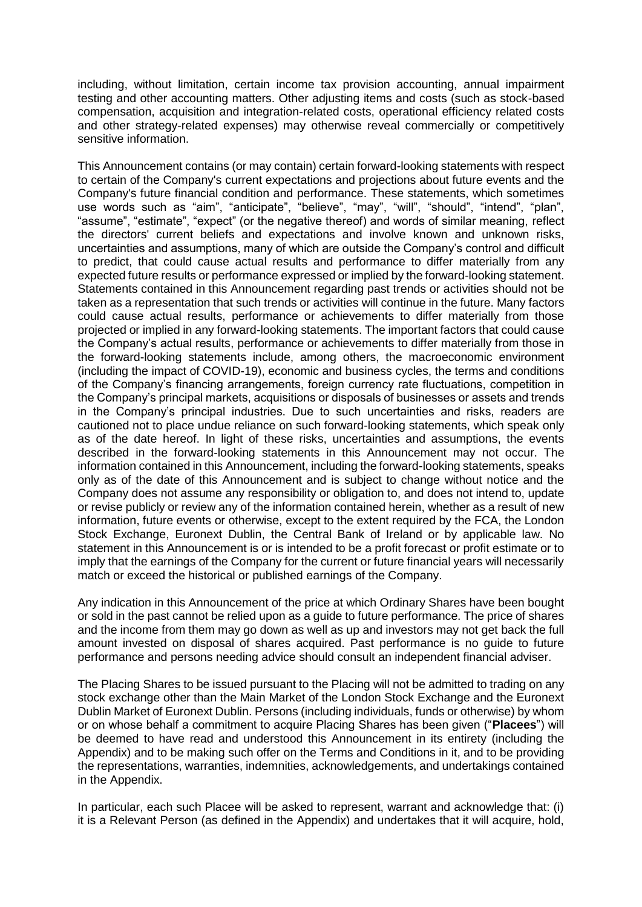including, without limitation, certain income tax provision accounting, annual impairment testing and other accounting matters. Other adjusting items and costs (such as stock-based compensation, acquisition and integration-related costs, operational efficiency related costs and other strategy-related expenses) may otherwise reveal commercially or competitively sensitive information.

This Announcement contains (or may contain) certain forward-looking statements with respect to certain of the Company's current expectations and projections about future events and the Company's future financial condition and performance. These statements, which sometimes use words such as "aim", "anticipate", "believe", "may", "will", "should", "intend", "plan", "assume", "estimate", "expect" (or the negative thereof) and words of similar meaning, reflect the directors' current beliefs and expectations and involve known and unknown risks, uncertainties and assumptions, many of which are outside the Company's control and difficult to predict, that could cause actual results and performance to differ materially from any expected future results or performance expressed or implied by the forward-looking statement. Statements contained in this Announcement regarding past trends or activities should not be taken as a representation that such trends or activities will continue in the future. Many factors could cause actual results, performance or achievements to differ materially from those projected or implied in any forward-looking statements. The important factors that could cause the Company's actual results, performance or achievements to differ materially from those in the forward-looking statements include, among others, the macroeconomic environment (including the impact of COVID-19), economic and business cycles, the terms and conditions of the Company's financing arrangements, foreign currency rate fluctuations, competition in the Company's principal markets, acquisitions or disposals of businesses or assets and trends in the Company's principal industries. Due to such uncertainties and risks, readers are cautioned not to place undue reliance on such forward-looking statements, which speak only as of the date hereof. In light of these risks, uncertainties and assumptions, the events described in the forward-looking statements in this Announcement may not occur. The information contained in this Announcement, including the forward-looking statements, speaks only as of the date of this Announcement and is subject to change without notice and the Company does not assume any responsibility or obligation to, and does not intend to, update or revise publicly or review any of the information contained herein, whether as a result of new information, future events or otherwise, except to the extent required by the FCA, the London Stock Exchange, Euronext Dublin, the Central Bank of Ireland or by applicable law. No statement in this Announcement is or is intended to be a profit forecast or profit estimate or to imply that the earnings of the Company for the current or future financial years will necessarily match or exceed the historical or published earnings of the Company.

Any indication in this Announcement of the price at which Ordinary Shares have been bought or sold in the past cannot be relied upon as a guide to future performance. The price of shares and the income from them may go down as well as up and investors may not get back the full amount invested on disposal of shares acquired. Past performance is no guide to future performance and persons needing advice should consult an independent financial adviser.

The Placing Shares to be issued pursuant to the Placing will not be admitted to trading on any stock exchange other than the Main Market of the London Stock Exchange and the Euronext Dublin Market of Euronext Dublin. Persons (including individuals, funds or otherwise) by whom or on whose behalf a commitment to acquire Placing Shares has been given ("**Placees**") will be deemed to have read and understood this Announcement in its entirety (including the Appendix) and to be making such offer on the Terms and Conditions in it, and to be providing the representations, warranties, indemnities, acknowledgements, and undertakings contained in the Appendix.

In particular, each such Placee will be asked to represent, warrant and acknowledge that: (i) it is a Relevant Person (as defined in the Appendix) and undertakes that it will acquire, hold,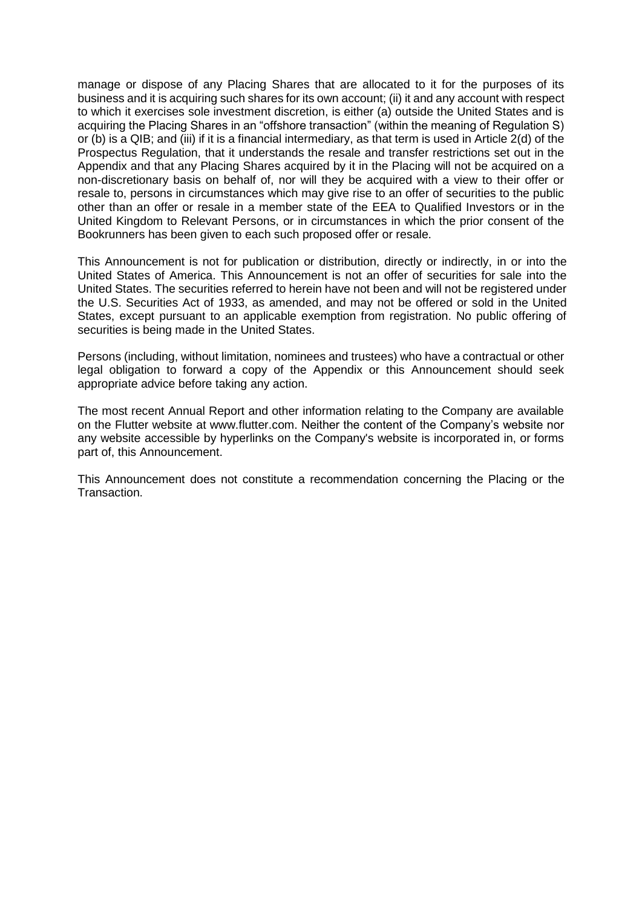manage or dispose of any Placing Shares that are allocated to it for the purposes of its business and it is acquiring such shares for its own account; (ii) it and any account with respect to which it exercises sole investment discretion, is either (a) outside the United States and is acquiring the Placing Shares in an "offshore transaction" (within the meaning of Regulation S) or (b) is a QIB; and (iii) if it is a financial intermediary, as that term is used in Article 2(d) of the Prospectus Regulation, that it understands the resale and transfer restrictions set out in the Appendix and that any Placing Shares acquired by it in the Placing will not be acquired on a non-discretionary basis on behalf of, nor will they be acquired with a view to their offer or resale to, persons in circumstances which may give rise to an offer of securities to the public other than an offer or resale in a member state of the EEA to Qualified Investors or in the United Kingdom to Relevant Persons, or in circumstances in which the prior consent of the Bookrunners has been given to each such proposed offer or resale.

This Announcement is not for publication or distribution, directly or indirectly, in or into the United States of America. This Announcement is not an offer of securities for sale into the United States. The securities referred to herein have not been and will not be registered under the U.S. Securities Act of 1933, as amended, and may not be offered or sold in the United States, except pursuant to an applicable exemption from registration. No public offering of securities is being made in the United States.

Persons (including, without limitation, nominees and trustees) who have a contractual or other legal obligation to forward a copy of the Appendix or this Announcement should seek appropriate advice before taking any action.

The most recent Annual Report and other information relating to the Company are available on the Flutter website at www.flutter.com. Neither the content of the Company's website nor any website accessible by hyperlinks on the Company's website is incorporated in, or forms part of, this Announcement.

This Announcement does not constitute a recommendation concerning the Placing or the Transaction.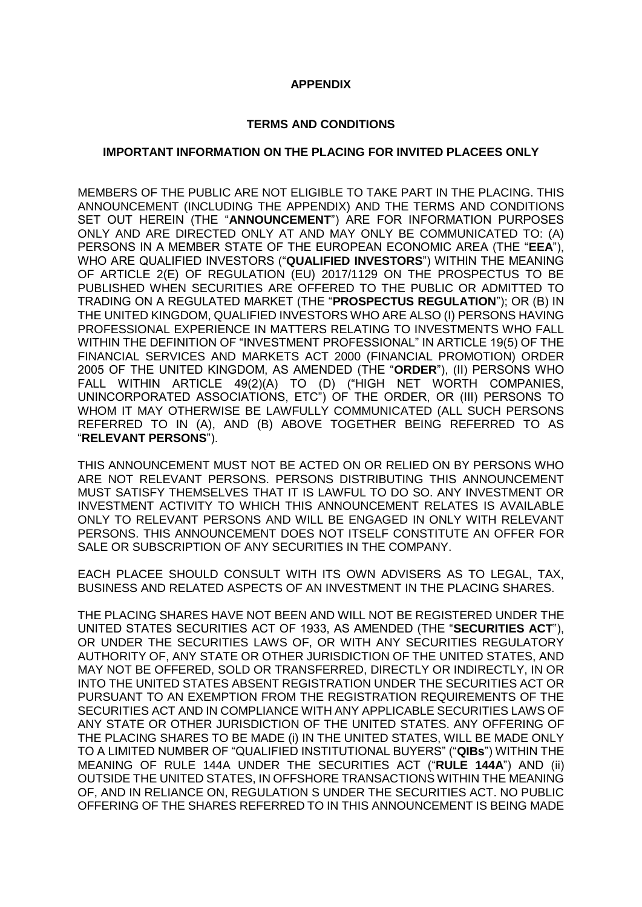### **APPENDIX**

#### **TERMS AND CONDITIONS**

#### **IMPORTANT INFORMATION ON THE PLACING FOR INVITED PLACEES ONLY**

MEMBERS OF THE PUBLIC ARE NOT ELIGIBLE TO TAKE PART IN THE PLACING. THIS ANNOUNCEMENT (INCLUDING THE APPENDIX) AND THE TERMS AND CONDITIONS SET OUT HEREIN (THE "**ANNOUNCEMENT**") ARE FOR INFORMATION PURPOSES ONLY AND ARE DIRECTED ONLY AT AND MAY ONLY BE COMMUNICATED TO: (A) PERSONS IN A MEMBER STATE OF THE EUROPEAN ECONOMIC AREA (THE "**EEA**"), WHO ARE QUALIFIED INVESTORS ("**QUALIFIED INVESTORS**") WITHIN THE MEANING OF ARTICLE 2(E) OF REGULATION (EU) 2017/1129 ON THE PROSPECTUS TO BE PUBLISHED WHEN SECURITIES ARE OFFERED TO THE PUBLIC OR ADMITTED TO TRADING ON A REGULATED MARKET (THE "**PROSPECTUS REGULATION**"); OR (B) IN THE UNITED KINGDOM, QUALIFIED INVESTORS WHO ARE ALSO (I) PERSONS HAVING PROFESSIONAL EXPERIENCE IN MATTERS RELATING TO INVESTMENTS WHO FALL WITHIN THE DEFINITION OF "INVESTMENT PROFESSIONAL" IN ARTICLE 19(5) OF THE FINANCIAL SERVICES AND MARKETS ACT 2000 (FINANCIAL PROMOTION) ORDER 2005 OF THE UNITED KINGDOM, AS AMENDED (THE "**ORDER**"), (II) PERSONS WHO FALL WITHIN ARTICLE 49(2)(A) TO (D) ("HIGH NET WORTH COMPANIES, UNINCORPORATED ASSOCIATIONS, ETC") OF THE ORDER, OR (III) PERSONS TO WHOM IT MAY OTHERWISE BE LAWFULLY COMMUNICATED (ALL SUCH PERSONS REFERRED TO IN (A), AND (B) ABOVE TOGETHER BEING REFERRED TO AS "**RELEVANT PERSONS**").

THIS ANNOUNCEMENT MUST NOT BE ACTED ON OR RELIED ON BY PERSONS WHO ARE NOT RELEVANT PERSONS. PERSONS DISTRIBUTING THIS ANNOUNCEMENT MUST SATISFY THEMSELVES THAT IT IS LAWFUL TO DO SO. ANY INVESTMENT OR INVESTMENT ACTIVITY TO WHICH THIS ANNOUNCEMENT RELATES IS AVAILABLE ONLY TO RELEVANT PERSONS AND WILL BE ENGAGED IN ONLY WITH RELEVANT PERSONS. THIS ANNOUNCEMENT DOES NOT ITSELF CONSTITUTE AN OFFER FOR SALE OR SUBSCRIPTION OF ANY SECURITIES IN THE COMPANY.

EACH PLACEE SHOULD CONSULT WITH ITS OWN ADVISERS AS TO LEGAL, TAX, BUSINESS AND RELATED ASPECTS OF AN INVESTMENT IN THE PLACING SHARES.

THE PLACING SHARES HAVE NOT BEEN AND WILL NOT BE REGISTERED UNDER THE UNITED STATES SECURITIES ACT OF 1933, AS AMENDED (THE "**SECURITIES ACT**"), OR UNDER THE SECURITIES LAWS OF, OR WITH ANY SECURITIES REGULATORY AUTHORITY OF, ANY STATE OR OTHER JURISDICTION OF THE UNITED STATES, AND MAY NOT BE OFFERED, SOLD OR TRANSFERRED, DIRECTLY OR INDIRECTLY, IN OR INTO THE UNITED STATES ABSENT REGISTRATION UNDER THE SECURITIES ACT OR PURSUANT TO AN EXEMPTION FROM THE REGISTRATION REQUIREMENTS OF THE SECURITIES ACT AND IN COMPLIANCE WITH ANY APPLICABLE SECURITIES LAWS OF ANY STATE OR OTHER JURISDICTION OF THE UNITED STATES. ANY OFFERING OF THE PLACING SHARES TO BE MADE (i) IN THE UNITED STATES, WILL BE MADE ONLY TO A LIMITED NUMBER OF "QUALIFIED INSTITUTIONAL BUYERS" ("**QIBs**") WITHIN THE MEANING OF RULE 144A UNDER THE SECURITIES ACT ("**RULE 144A**") AND (ii) OUTSIDE THE UNITED STATES, IN OFFSHORE TRANSACTIONS WITHIN THE MEANING OF, AND IN RELIANCE ON, REGULATION S UNDER THE SECURITIES ACT. NO PUBLIC OFFERING OF THE SHARES REFERRED TO IN THIS ANNOUNCEMENT IS BEING MADE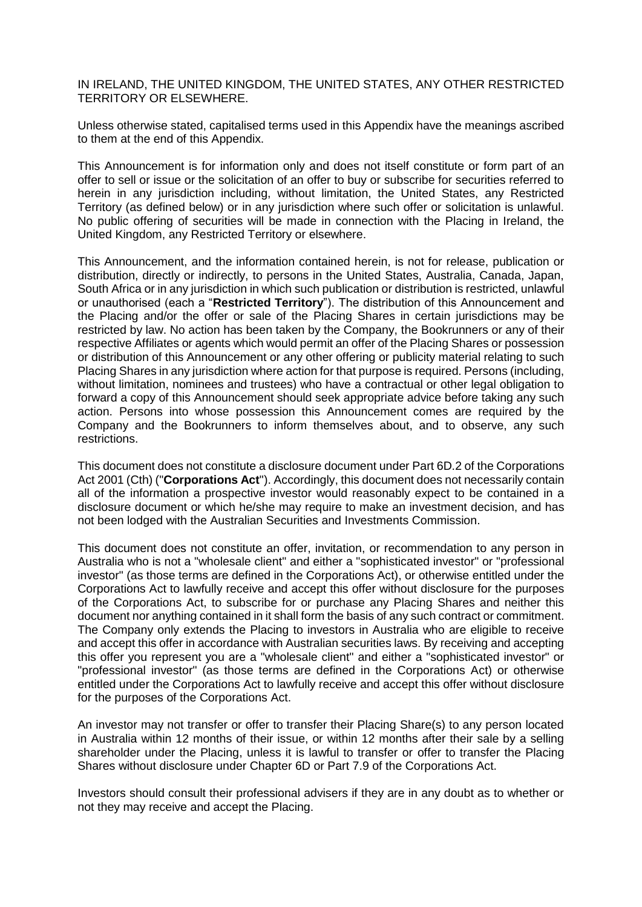IN IRELAND, THE UNITED KINGDOM, THE UNITED STATES, ANY OTHER RESTRICTED TERRITORY OR ELSEWHERE.

Unless otherwise stated, capitalised terms used in this Appendix have the meanings ascribed to them at the end of this Appendix.

This Announcement is for information only and does not itself constitute or form part of an offer to sell or issue or the solicitation of an offer to buy or subscribe for securities referred to herein in any jurisdiction including, without limitation, the United States, any Restricted Territory (as defined below) or in any jurisdiction where such offer or solicitation is unlawful. No public offering of securities will be made in connection with the Placing in Ireland, the United Kingdom, any Restricted Territory or elsewhere.

This Announcement, and the information contained herein, is not for release, publication or distribution, directly or indirectly, to persons in the United States, Australia, Canada, Japan, South Africa or in any jurisdiction in which such publication or distribution is restricted, unlawful or unauthorised (each a "**Restricted Territory**"). The distribution of this Announcement and the Placing and/or the offer or sale of the Placing Shares in certain jurisdictions may be restricted by law. No action has been taken by the Company, the Bookrunners or any of their respective Affiliates or agents which would permit an offer of the Placing Shares or possession or distribution of this Announcement or any other offering or publicity material relating to such Placing Shares in any jurisdiction where action for that purpose is required. Persons (including, without limitation, nominees and trustees) who have a contractual or other legal obligation to forward a copy of this Announcement should seek appropriate advice before taking any such action. Persons into whose possession this Announcement comes are required by the Company and the Bookrunners to inform themselves about, and to observe, any such restrictions.

This document does not constitute a disclosure document under Part 6D.2 of the Corporations Act 2001 (Cth) ("**Corporations Act**"). Accordingly, this document does not necessarily contain all of the information a prospective investor would reasonably expect to be contained in a disclosure document or which he/she may require to make an investment decision, and has not been lodged with the Australian Securities and Investments Commission.

This document does not constitute an offer, invitation, or recommendation to any person in Australia who is not a "wholesale client" and either a "sophisticated investor" or "professional investor" (as those terms are defined in the Corporations Act), or otherwise entitled under the Corporations Act to lawfully receive and accept this offer without disclosure for the purposes of the Corporations Act, to subscribe for or purchase any Placing Shares and neither this document nor anything contained in it shall form the basis of any such contract or commitment. The Company only extends the Placing to investors in Australia who are eligible to receive and accept this offer in accordance with Australian securities laws. By receiving and accepting this offer you represent you are a "wholesale client" and either a "sophisticated investor" or "professional investor" (as those terms are defined in the Corporations Act) or otherwise entitled under the Corporations Act to lawfully receive and accept this offer without disclosure for the purposes of the Corporations Act.

An investor may not transfer or offer to transfer their Placing Share(s) to any person located in Australia within 12 months of their issue, or within 12 months after their sale by a selling shareholder under the Placing, unless it is lawful to transfer or offer to transfer the Placing Shares without disclosure under Chapter 6D or Part 7.9 of the Corporations Act.

Investors should consult their professional advisers if they are in any doubt as to whether or not they may receive and accept the Placing.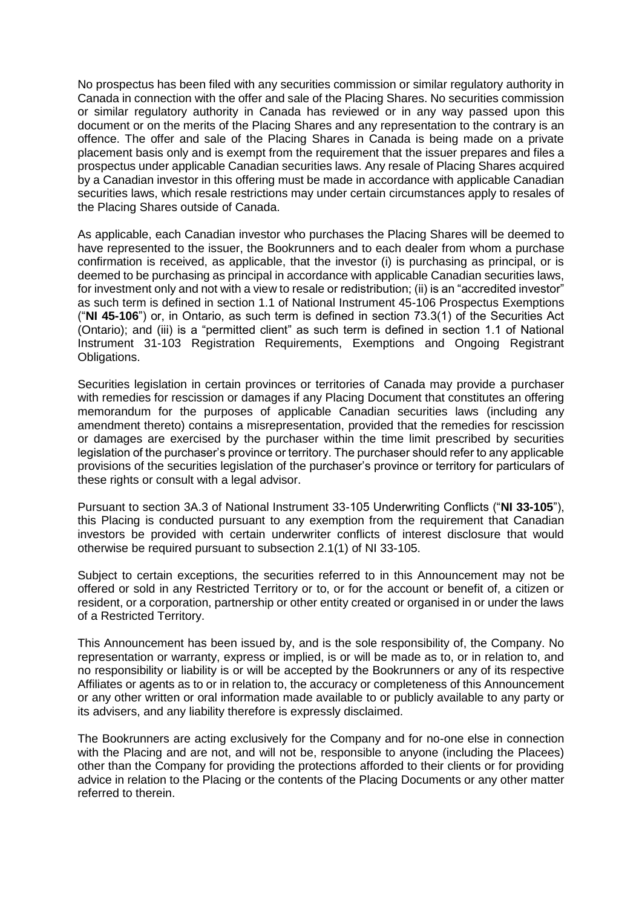No prospectus has been filed with any securities commission or similar regulatory authority in Canada in connection with the offer and sale of the Placing Shares. No securities commission or similar regulatory authority in Canada has reviewed or in any way passed upon this document or on the merits of the Placing Shares and any representation to the contrary is an offence. The offer and sale of the Placing Shares in Canada is being made on a private placement basis only and is exempt from the requirement that the issuer prepares and files a prospectus under applicable Canadian securities laws. Any resale of Placing Shares acquired by a Canadian investor in this offering must be made in accordance with applicable Canadian securities laws, which resale restrictions may under certain circumstances apply to resales of the Placing Shares outside of Canada.

As applicable, each Canadian investor who purchases the Placing Shares will be deemed to have represented to the issuer, the Bookrunners and to each dealer from whom a purchase confirmation is received, as applicable, that the investor (i) is purchasing as principal, or is deemed to be purchasing as principal in accordance with applicable Canadian securities laws, for investment only and not with a view to resale or redistribution; (ii) is an "accredited investor" as such term is defined in section 1.1 of National Instrument 45-106 Prospectus Exemptions ("**NI 45-106**") or, in Ontario, as such term is defined in section 73.3(1) of the Securities Act (Ontario); and (iii) is a "permitted client" as such term is defined in section 1.1 of National Instrument 31-103 Registration Requirements, Exemptions and Ongoing Registrant Obligations.

Securities legislation in certain provinces or territories of Canada may provide a purchaser with remedies for rescission or damages if any Placing Document that constitutes an offering memorandum for the purposes of applicable Canadian securities laws (including any amendment thereto) contains a misrepresentation, provided that the remedies for rescission or damages are exercised by the purchaser within the time limit prescribed by securities legislation of the purchaser's province or territory. The purchaser should refer to any applicable provisions of the securities legislation of the purchaser's province or territory for particulars of these rights or consult with a legal advisor.

Pursuant to section 3A.3 of National Instrument 33-105 Underwriting Conflicts ("**NI 33-105**"), this Placing is conducted pursuant to any exemption from the requirement that Canadian investors be provided with certain underwriter conflicts of interest disclosure that would otherwise be required pursuant to subsection 2.1(1) of NI 33-105.

Subject to certain exceptions, the securities referred to in this Announcement may not be offered or sold in any Restricted Territory or to, or for the account or benefit of, a citizen or resident, or a corporation, partnership or other entity created or organised in or under the laws of a Restricted Territory.

This Announcement has been issued by, and is the sole responsibility of, the Company. No representation or warranty, express or implied, is or will be made as to, or in relation to, and no responsibility or liability is or will be accepted by the Bookrunners or any of its respective Affiliates or agents as to or in relation to, the accuracy or completeness of this Announcement or any other written or oral information made available to or publicly available to any party or its advisers, and any liability therefore is expressly disclaimed.

The Bookrunners are acting exclusively for the Company and for no-one else in connection with the Placing and are not, and will not be, responsible to anyone (including the Placees) other than the Company for providing the protections afforded to their clients or for providing advice in relation to the Placing or the contents of the Placing Documents or any other matter referred to therein.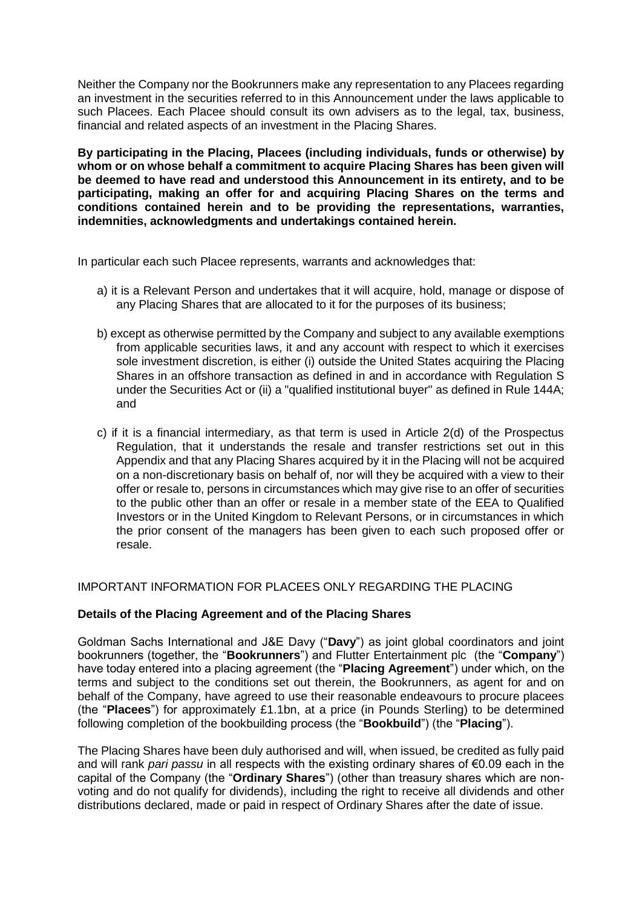Neither the Company nor the Bookrunners make any representation to any Placees regarding an investment in the securities referred to in this Announcement under the laws applicable to such Placees. Each Placee should consult its own advisers as to the legal, tax, business, financial and related aspects of an investment in the Placing Shares.

**By participating in the Placing, Placees (including individuals, funds or otherwise) by whom or on whose behalf a commitment to acquire Placing Shares has been given will be deemed to have read and understood this Announcement in its entirety, and to be participating, making an offer for and acquiring Placing Shares on the terms and conditions contained herein and to be providing the representations, warranties, indemnities, acknowledgments and undertakings contained herein.**

In particular each such Placee represents, warrants and acknowledges that:

- a) it is a Relevant Person and undertakes that it will acquire, hold, manage or dispose of any Placing Shares that are allocated to it for the purposes of its business;
- b) except as otherwise permitted by the Company and subject to any available exemptions from applicable securities laws, it and any account with respect to which it exercises sole investment discretion, is either (i) outside the United States acquiring the Placing Shares in an offshore transaction as defined in and in accordance with Regulation S under the Securities Act or (ii) a "qualified institutional buyer" as defined in Rule 144A; and
- c) if it is a financial intermediary, as that term is used in Article 2(d) of the Prospectus Regulation, that it understands the resale and transfer restrictions set out in this Appendix and that any Placing Shares acquired by it in the Placing will not be acquired on a non-discretionary basis on behalf of, nor will they be acquired with a view to their offer or resale to, persons in circumstances which may give rise to an offer of securities to the public other than an offer or resale in a member state of the EEA to Qualified Investors or in the United Kingdom to Relevant Persons, or in circumstances in which the prior consent of the managers has been given to each such proposed offer or resale.

# IMPORTANT INFORMATION FOR PLACEES ONLY REGARDING THE PLACING

# **Details of the Placing Agreement and of the Placing Shares**

Goldman Sachs International and J&E Davy ("**Davy**") as joint global coordinators and joint bookrunners (together, the "**Bookrunners**") and Flutter Entertainment plc (the "**Company**") have today entered into a placing agreement (the "**Placing Agreement**") under which, on the terms and subject to the conditions set out therein, the Bookrunners, as agent for and on behalf of the Company, have agreed to use their reasonable endeavours to procure placees (the "**Placees**") for approximately £1.1bn, at a price (in Pounds Sterling) to be determined following completion of the bookbuilding process (the "**Bookbuild**") (the "**Placing**").

The Placing Shares have been duly authorised and will, when issued, be credited as fully paid and will rank *pari passu* in all respects with the existing ordinary shares of €0.09 each in the capital of the Company (the "**Ordinary Shares**") (other than treasury shares which are nonvoting and do not qualify for dividends), including the right to receive all dividends and other distributions declared, made or paid in respect of Ordinary Shares after the date of issue.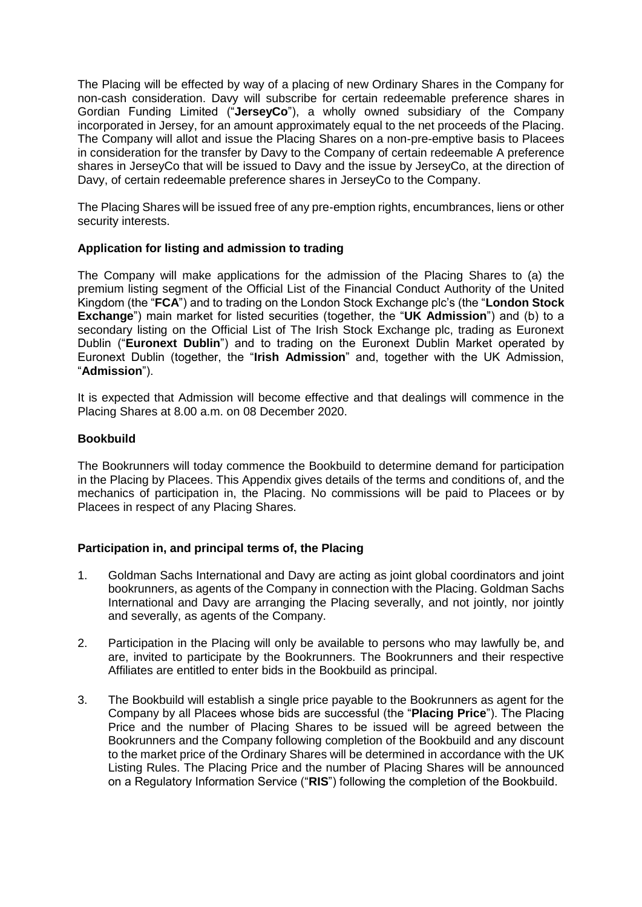The Placing will be effected by way of a placing of new Ordinary Shares in the Company for non-cash consideration. Davy will subscribe for certain redeemable preference shares in Gordian Funding Limited ("**JerseyCo**"), a wholly owned subsidiary of the Company incorporated in Jersey, for an amount approximately equal to the net proceeds of the Placing. The Company will allot and issue the Placing Shares on a non-pre-emptive basis to Placees in consideration for the transfer by Davy to the Company of certain redeemable A preference shares in JerseyCo that will be issued to Davy and the issue by JerseyCo, at the direction of Davy, of certain redeemable preference shares in JerseyCo to the Company.

The Placing Shares will be issued free of any pre-emption rights, encumbrances, liens or other security interests.

# **Application for listing and admission to trading**

The Company will make applications for the admission of the Placing Shares to (a) the premium listing segment of the Official List of the Financial Conduct Authority of the United Kingdom (the "**FCA**") and to trading on the London Stock Exchange plc's (the "**London Stock Exchange**") main market for listed securities (together, the "**UK Admission**") and (b) to a secondary listing on the Official List of The Irish Stock Exchange plc, trading as Euronext Dublin ("**Euronext Dublin**") and to trading on the Euronext Dublin Market operated by Euronext Dublin (together, the "**Irish Admission**" and, together with the UK Admission, "**Admission**").

It is expected that Admission will become effective and that dealings will commence in the Placing Shares at 8.00 a.m. on 08 December 2020.

# **Bookbuild**

The Bookrunners will today commence the Bookbuild to determine demand for participation in the Placing by Placees. This Appendix gives details of the terms and conditions of, and the mechanics of participation in, the Placing. No commissions will be paid to Placees or by Placees in respect of any Placing Shares.

# **Participation in, and principal terms of, the Placing**

- 1. Goldman Sachs International and Davy are acting as joint global coordinators and joint bookrunners, as agents of the Company in connection with the Placing. Goldman Sachs International and Davy are arranging the Placing severally, and not jointly, nor jointly and severally, as agents of the Company.
- 2. Participation in the Placing will only be available to persons who may lawfully be, and are, invited to participate by the Bookrunners. The Bookrunners and their respective Affiliates are entitled to enter bids in the Bookbuild as principal.
- 3. The Bookbuild will establish a single price payable to the Bookrunners as agent for the Company by all Placees whose bids are successful (the "**Placing Price**"). The Placing Price and the number of Placing Shares to be issued will be agreed between the Bookrunners and the Company following completion of the Bookbuild and any discount to the market price of the Ordinary Shares will be determined in accordance with the UK Listing Rules. The Placing Price and the number of Placing Shares will be announced on a Regulatory Information Service ("**RIS**") following the completion of the Bookbuild.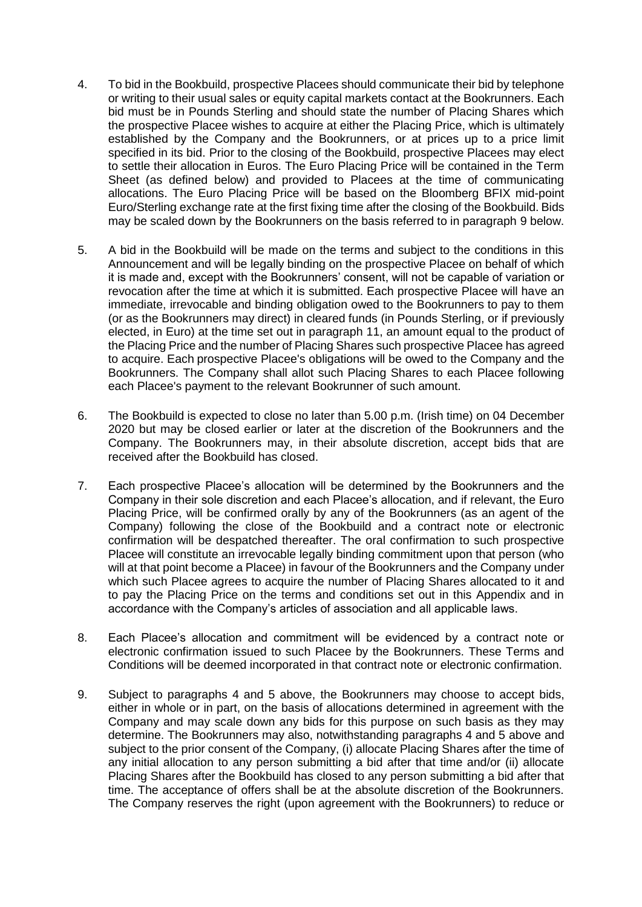- 4. To bid in the Bookbuild, prospective Placees should communicate their bid by telephone or writing to their usual sales or equity capital markets contact at the Bookrunners. Each bid must be in Pounds Sterling and should state the number of Placing Shares which the prospective Placee wishes to acquire at either the Placing Price, which is ultimately established by the Company and the Bookrunners, or at prices up to a price limit specified in its bid. Prior to the closing of the Bookbuild, prospective Placees may elect to settle their allocation in Euros. The Euro Placing Price will be contained in the Term Sheet (as defined below) and provided to Placees at the time of communicating allocations. The Euro Placing Price will be based on the Bloomberg BFIX mid-point Euro/Sterling exchange rate at the first fixing time after the closing of the Bookbuild. Bids may be scaled down by the Bookrunners on the basis referred to in paragraph 9 below.
- 5. A bid in the Bookbuild will be made on the terms and subject to the conditions in this Announcement and will be legally binding on the prospective Placee on behalf of which it is made and, except with the Bookrunners' consent, will not be capable of variation or revocation after the time at which it is submitted. Each prospective Placee will have an immediate, irrevocable and binding obligation owed to the Bookrunners to pay to them (or as the Bookrunners may direct) in cleared funds (in Pounds Sterling, or if previously elected, in Euro) at the time set out in paragraph 11, an amount equal to the product of the Placing Price and the number of Placing Shares such prospective Placee has agreed to acquire. Each prospective Placee's obligations will be owed to the Company and the Bookrunners. The Company shall allot such Placing Shares to each Placee following each Placee's payment to the relevant Bookrunner of such amount.
- 6. The Bookbuild is expected to close no later than 5.00 p.m. (Irish time) on 04 December 2020 but may be closed earlier or later at the discretion of the Bookrunners and the Company. The Bookrunners may, in their absolute discretion, accept bids that are received after the Bookbuild has closed.
- 7. Each prospective Placee's allocation will be determined by the Bookrunners and the Company in their sole discretion and each Placee's allocation, and if relevant, the Euro Placing Price, will be confirmed orally by any of the Bookrunners (as an agent of the Company) following the close of the Bookbuild and a contract note or electronic confirmation will be despatched thereafter. The oral confirmation to such prospective Placee will constitute an irrevocable legally binding commitment upon that person (who will at that point become a Placee) in favour of the Bookrunners and the Company under which such Placee agrees to acquire the number of Placing Shares allocated to it and to pay the Placing Price on the terms and conditions set out in this Appendix and in accordance with the Company's articles of association and all applicable laws.
- 8. Each Placee's allocation and commitment will be evidenced by a contract note or electronic confirmation issued to such Placee by the Bookrunners. These Terms and Conditions will be deemed incorporated in that contract note or electronic confirmation.
- 9. Subject to paragraphs 4 and 5 above, the Bookrunners may choose to accept bids, either in whole or in part, on the basis of allocations determined in agreement with the Company and may scale down any bids for this purpose on such basis as they may determine. The Bookrunners may also, notwithstanding paragraphs 4 and 5 above and subject to the prior consent of the Company, (i) allocate Placing Shares after the time of any initial allocation to any person submitting a bid after that time and/or (ii) allocate Placing Shares after the Bookbuild has closed to any person submitting a bid after that time. The acceptance of offers shall be at the absolute discretion of the Bookrunners. The Company reserves the right (upon agreement with the Bookrunners) to reduce or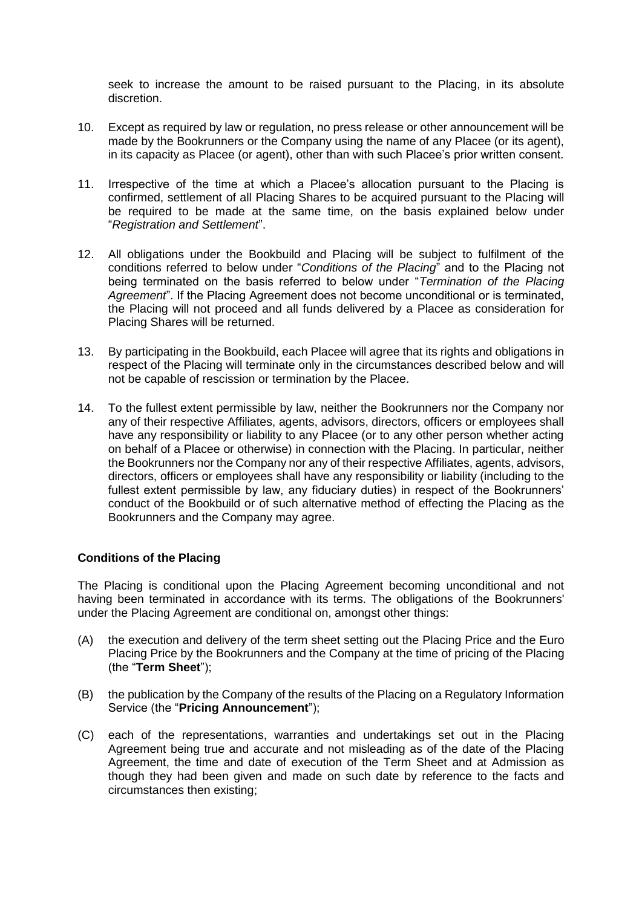seek to increase the amount to be raised pursuant to the Placing, in its absolute discretion.

- 10. Except as required by law or regulation, no press release or other announcement will be made by the Bookrunners or the Company using the name of any Placee (or its agent), in its capacity as Placee (or agent), other than with such Placee's prior written consent.
- 11. Irrespective of the time at which a Placee's allocation pursuant to the Placing is confirmed, settlement of all Placing Shares to be acquired pursuant to the Placing will be required to be made at the same time, on the basis explained below under "*Registration and Settlement*".
- 12. All obligations under the Bookbuild and Placing will be subject to fulfilment of the conditions referred to below under "*Conditions of the Placing*" and to the Placing not being terminated on the basis referred to below under "*Termination of the Placing Agreement*". If the Placing Agreement does not become unconditional or is terminated, the Placing will not proceed and all funds delivered by a Placee as consideration for Placing Shares will be returned.
- 13. By participating in the Bookbuild, each Placee will agree that its rights and obligations in respect of the Placing will terminate only in the circumstances described below and will not be capable of rescission or termination by the Placee.
- 14. To the fullest extent permissible by law, neither the Bookrunners nor the Company nor any of their respective Affiliates, agents, advisors, directors, officers or employees shall have any responsibility or liability to any Placee (or to any other person whether acting on behalf of a Placee or otherwise) in connection with the Placing. In particular, neither the Bookrunners nor the Company nor any of their respective Affiliates, agents, advisors, directors, officers or employees shall have any responsibility or liability (including to the fullest extent permissible by law, any fiduciary duties) in respect of the Bookrunners' conduct of the Bookbuild or of such alternative method of effecting the Placing as the Bookrunners and the Company may agree.

# **Conditions of the Placing**

The Placing is conditional upon the Placing Agreement becoming unconditional and not having been terminated in accordance with its terms. The obligations of the Bookrunners' under the Placing Agreement are conditional on, amongst other things:

- (A) the execution and delivery of the term sheet setting out the Placing Price and the Euro Placing Price by the Bookrunners and the Company at the time of pricing of the Placing (the "**Term Sheet**");
- (B) the publication by the Company of the results of the Placing on a Regulatory Information Service (the "**Pricing Announcement**");
- (C) each of the representations, warranties and undertakings set out in the Placing Agreement being true and accurate and not misleading as of the date of the Placing Agreement, the time and date of execution of the Term Sheet and at Admission as though they had been given and made on such date by reference to the facts and circumstances then existing;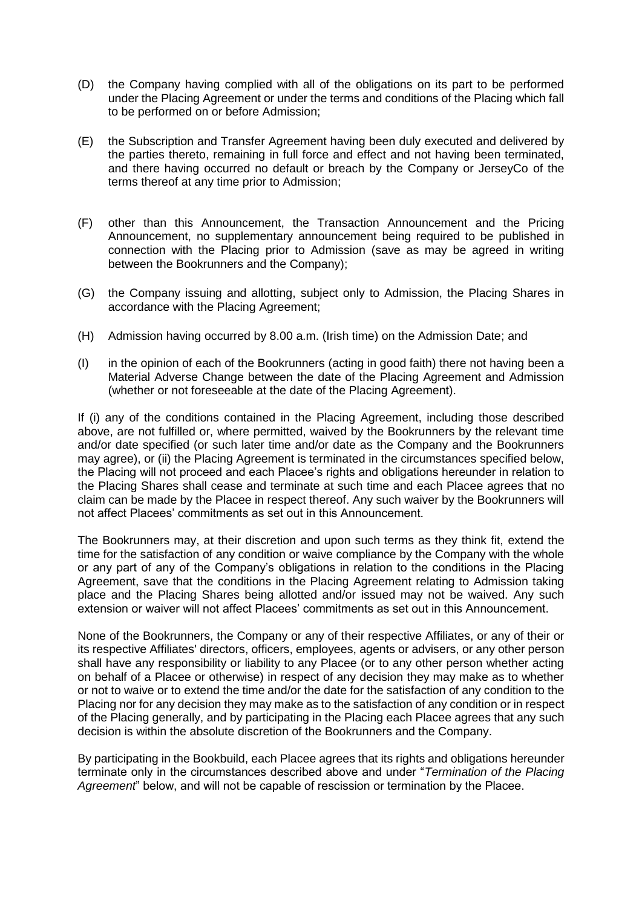- (D) the Company having complied with all of the obligations on its part to be performed under the Placing Agreement or under the terms and conditions of the Placing which fall to be performed on or before Admission;
- (E) the Subscription and Transfer Agreement having been duly executed and delivered by the parties thereto, remaining in full force and effect and not having been terminated, and there having occurred no default or breach by the Company or JerseyCo of the terms thereof at any time prior to Admission;
- (F) other than this Announcement, the Transaction Announcement and the Pricing Announcement, no supplementary announcement being required to be published in connection with the Placing prior to Admission (save as may be agreed in writing between the Bookrunners and the Company);
- (G) the Company issuing and allotting, subject only to Admission, the Placing Shares in accordance with the Placing Agreement;
- (H) Admission having occurred by 8.00 a.m. (Irish time) on the Admission Date; and
- (I) in the opinion of each of the Bookrunners (acting in good faith) there not having been a Material Adverse Change between the date of the Placing Agreement and Admission (whether or not foreseeable at the date of the Placing Agreement).

If (i) any of the conditions contained in the Placing Agreement, including those described above, are not fulfilled or, where permitted, waived by the Bookrunners by the relevant time and/or date specified (or such later time and/or date as the Company and the Bookrunners may agree), or (ii) the Placing Agreement is terminated in the circumstances specified below, the Placing will not proceed and each Placee's rights and obligations hereunder in relation to the Placing Shares shall cease and terminate at such time and each Placee agrees that no claim can be made by the Placee in respect thereof. Any such waiver by the Bookrunners will not affect Placees' commitments as set out in this Announcement.

The Bookrunners may, at their discretion and upon such terms as they think fit, extend the time for the satisfaction of any condition or waive compliance by the Company with the whole or any part of any of the Company's obligations in relation to the conditions in the Placing Agreement, save that the conditions in the Placing Agreement relating to Admission taking place and the Placing Shares being allotted and/or issued may not be waived. Any such extension or waiver will not affect Placees' commitments as set out in this Announcement.

None of the Bookrunners, the Company or any of their respective Affiliates, or any of their or its respective Affiliates' directors, officers, employees, agents or advisers, or any other person shall have any responsibility or liability to any Placee (or to any other person whether acting on behalf of a Placee or otherwise) in respect of any decision they may make as to whether or not to waive or to extend the time and/or the date for the satisfaction of any condition to the Placing nor for any decision they may make as to the satisfaction of any condition or in respect of the Placing generally, and by participating in the Placing each Placee agrees that any such decision is within the absolute discretion of the Bookrunners and the Company.

By participating in the Bookbuild, each Placee agrees that its rights and obligations hereunder terminate only in the circumstances described above and under "*Termination of the Placing Agreement*" below, and will not be capable of rescission or termination by the Placee.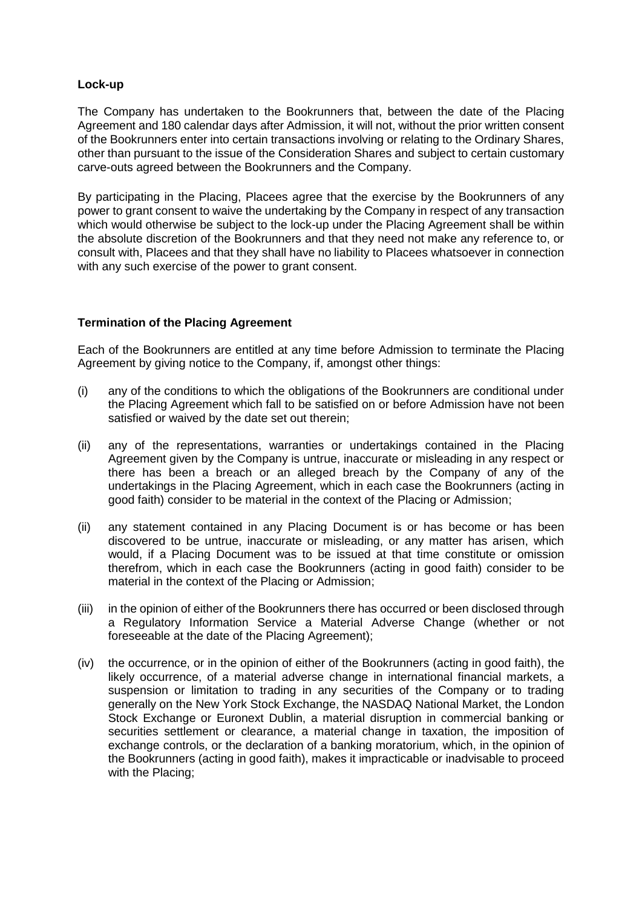### **Lock-up**

The Company has undertaken to the Bookrunners that, between the date of the Placing Agreement and 180 calendar days after Admission, it will not, without the prior written consent of the Bookrunners enter into certain transactions involving or relating to the Ordinary Shares, other than pursuant to the issue of the Consideration Shares and subject to certain customary carve-outs agreed between the Bookrunners and the Company.

By participating in the Placing, Placees agree that the exercise by the Bookrunners of any power to grant consent to waive the undertaking by the Company in respect of any transaction which would otherwise be subject to the lock-up under the Placing Agreement shall be within the absolute discretion of the Bookrunners and that they need not make any reference to, or consult with, Placees and that they shall have no liability to Placees whatsoever in connection with any such exercise of the power to grant consent.

# **Termination of the Placing Agreement**

Each of the Bookrunners are entitled at any time before Admission to terminate the Placing Agreement by giving notice to the Company, if, amongst other things:

- (i) any of the conditions to which the obligations of the Bookrunners are conditional under the Placing Agreement which fall to be satisfied on or before Admission have not been satisfied or waived by the date set out therein;
- (ii) any of the representations, warranties or undertakings contained in the Placing Agreement given by the Company is untrue, inaccurate or misleading in any respect or there has been a breach or an alleged breach by the Company of any of the undertakings in the Placing Agreement, which in each case the Bookrunners (acting in good faith) consider to be material in the context of the Placing or Admission;
- (ii) any statement contained in any Placing Document is or has become or has been discovered to be untrue, inaccurate or misleading, or any matter has arisen, which would, if a Placing Document was to be issued at that time constitute or omission therefrom, which in each case the Bookrunners (acting in good faith) consider to be material in the context of the Placing or Admission;
- (iii) in the opinion of either of the Bookrunners there has occurred or been disclosed through a Regulatory Information Service a Material Adverse Change (whether or not foreseeable at the date of the Placing Agreement);
- (iv) the occurrence, or in the opinion of either of the Bookrunners (acting in good faith), the likely occurrence, of a material adverse change in international financial markets, a suspension or limitation to trading in any securities of the Company or to trading generally on the New York Stock Exchange, the NASDAQ National Market, the London Stock Exchange or Euronext Dublin, a material disruption in commercial banking or securities settlement or clearance, a material change in taxation, the imposition of exchange controls, or the declaration of a banking moratorium, which, in the opinion of the Bookrunners (acting in good faith), makes it impracticable or inadvisable to proceed with the Placing;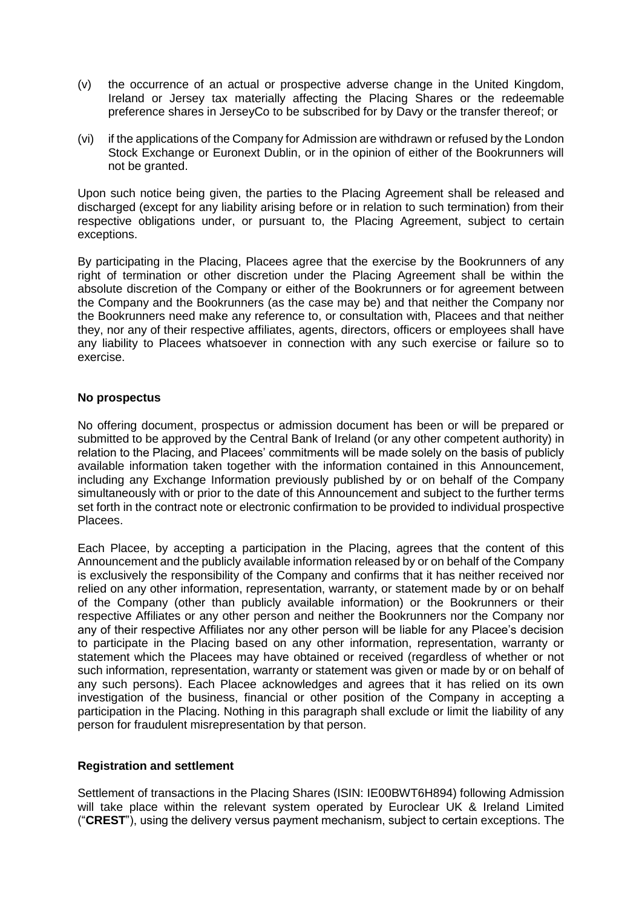- (v) the occurrence of an actual or prospective adverse change in the United Kingdom, Ireland or Jersey tax materially affecting the Placing Shares or the redeemable preference shares in JerseyCo to be subscribed for by Davy or the transfer thereof; or
- (vi) if the applications of the Company for Admission are withdrawn or refused by the London Stock Exchange or Euronext Dublin, or in the opinion of either of the Bookrunners will not be granted.

Upon such notice being given, the parties to the Placing Agreement shall be released and discharged (except for any liability arising before or in relation to such termination) from their respective obligations under, or pursuant to, the Placing Agreement, subject to certain exceptions.

By participating in the Placing, Placees agree that the exercise by the Bookrunners of any right of termination or other discretion under the Placing Agreement shall be within the absolute discretion of the Company or either of the Bookrunners or for agreement between the Company and the Bookrunners (as the case may be) and that neither the Company nor the Bookrunners need make any reference to, or consultation with, Placees and that neither they, nor any of their respective affiliates, agents, directors, officers or employees shall have any liability to Placees whatsoever in connection with any such exercise or failure so to exercise.

#### **No prospectus**

No offering document, prospectus or admission document has been or will be prepared or submitted to be approved by the Central Bank of Ireland (or any other competent authority) in relation to the Placing, and Placees' commitments will be made solely on the basis of publicly available information taken together with the information contained in this Announcement, including any Exchange Information previously published by or on behalf of the Company simultaneously with or prior to the date of this Announcement and subject to the further terms set forth in the contract note or electronic confirmation to be provided to individual prospective Placees.

Each Placee, by accepting a participation in the Placing, agrees that the content of this Announcement and the publicly available information released by or on behalf of the Company is exclusively the responsibility of the Company and confirms that it has neither received nor relied on any other information, representation, warranty, or statement made by or on behalf of the Company (other than publicly available information) or the Bookrunners or their respective Affiliates or any other person and neither the Bookrunners nor the Company nor any of their respective Affiliates nor any other person will be liable for any Placee's decision to participate in the Placing based on any other information, representation, warranty or statement which the Placees may have obtained or received (regardless of whether or not such information, representation, warranty or statement was given or made by or on behalf of any such persons). Each Placee acknowledges and agrees that it has relied on its own investigation of the business, financial or other position of the Company in accepting a participation in the Placing. Nothing in this paragraph shall exclude or limit the liability of any person for fraudulent misrepresentation by that person.

# **Registration and settlement**

Settlement of transactions in the Placing Shares (ISIN: IE00BWT6H894) following Admission will take place within the relevant system operated by Euroclear UK & Ireland Limited ("**CREST**"), using the delivery versus payment mechanism, subject to certain exceptions. The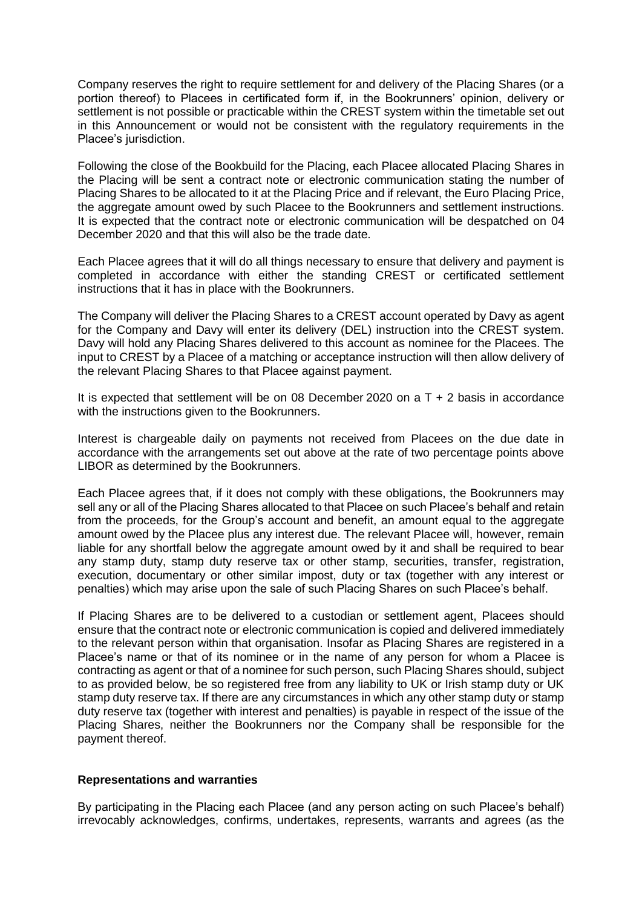Company reserves the right to require settlement for and delivery of the Placing Shares (or a portion thereof) to Placees in certificated form if, in the Bookrunners' opinion, delivery or settlement is not possible or practicable within the CREST system within the timetable set out in this Announcement or would not be consistent with the regulatory requirements in the Placee's jurisdiction.

Following the close of the Bookbuild for the Placing, each Placee allocated Placing Shares in the Placing will be sent a contract note or electronic communication stating the number of Placing Shares to be allocated to it at the Placing Price and if relevant, the Euro Placing Price, the aggregate amount owed by such Placee to the Bookrunners and settlement instructions. It is expected that the contract note or electronic communication will be despatched on 04 December 2020 and that this will also be the trade date.

Each Placee agrees that it will do all things necessary to ensure that delivery and payment is completed in accordance with either the standing CREST or certificated settlement instructions that it has in place with the Bookrunners.

The Company will deliver the Placing Shares to a CREST account operated by Davy as agent for the Company and Davy will enter its delivery (DEL) instruction into the CREST system. Davy will hold any Placing Shares delivered to this account as nominee for the Placees. The input to CREST by a Placee of a matching or acceptance instruction will then allow delivery of the relevant Placing Shares to that Placee against payment.

It is expected that settlement will be on 08 December 2020 on a T + 2 basis in accordance with the instructions given to the Bookrunners.

Interest is chargeable daily on payments not received from Placees on the due date in accordance with the arrangements set out above at the rate of two percentage points above LIBOR as determined by the Bookrunners.

Each Placee agrees that, if it does not comply with these obligations, the Bookrunners may sell any or all of the Placing Shares allocated to that Placee on such Placee's behalf and retain from the proceeds, for the Group's account and benefit, an amount equal to the aggregate amount owed by the Placee plus any interest due. The relevant Placee will, however, remain liable for any shortfall below the aggregate amount owed by it and shall be required to bear any stamp duty, stamp duty reserve tax or other stamp, securities, transfer, registration, execution, documentary or other similar impost, duty or tax (together with any interest or penalties) which may arise upon the sale of such Placing Shares on such Placee's behalf.

If Placing Shares are to be delivered to a custodian or settlement agent, Placees should ensure that the contract note or electronic communication is copied and delivered immediately to the relevant person within that organisation. Insofar as Placing Shares are registered in a Placee's name or that of its nominee or in the name of any person for whom a Placee is contracting as agent or that of a nominee for such person, such Placing Shares should, subject to as provided below, be so registered free from any liability to UK or Irish stamp duty or UK stamp duty reserve tax. If there are any circumstances in which any other stamp duty or stamp duty reserve tax (together with interest and penalties) is payable in respect of the issue of the Placing Shares, neither the Bookrunners nor the Company shall be responsible for the payment thereof.

#### **Representations and warranties**

By participating in the Placing each Placee (and any person acting on such Placee's behalf) irrevocably acknowledges, confirms, undertakes, represents, warrants and agrees (as the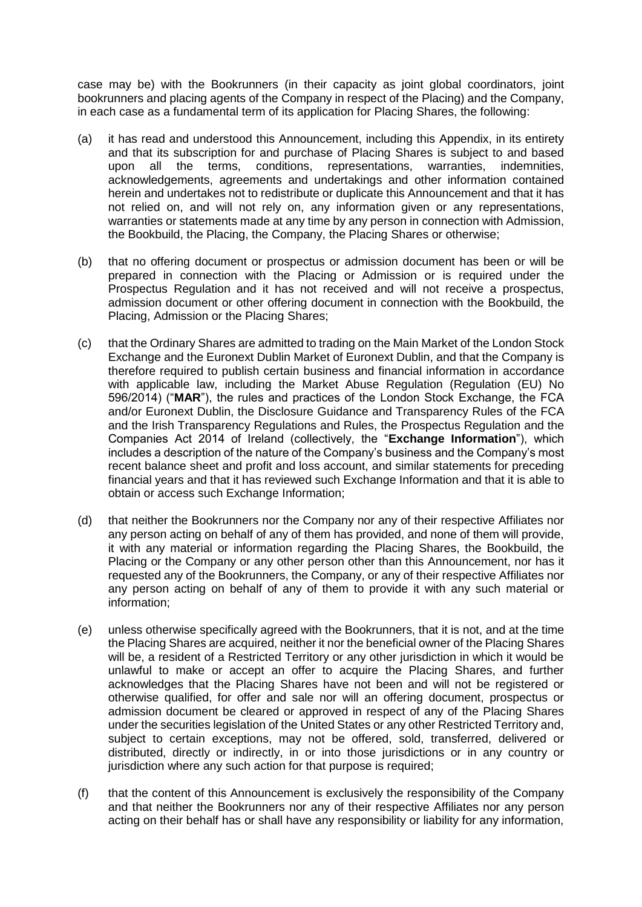case may be) with the Bookrunners (in their capacity as joint global coordinators, joint bookrunners and placing agents of the Company in respect of the Placing) and the Company, in each case as a fundamental term of its application for Placing Shares, the following:

- (a) it has read and understood this Announcement, including this Appendix, in its entirety and that its subscription for and purchase of Placing Shares is subject to and based upon all the terms, conditions, representations, warranties, indemnities, acknowledgements, agreements and undertakings and other information contained herein and undertakes not to redistribute or duplicate this Announcement and that it has not relied on, and will not rely on, any information given or any representations, warranties or statements made at any time by any person in connection with Admission, the Bookbuild, the Placing, the Company, the Placing Shares or otherwise;
- (b) that no offering document or prospectus or admission document has been or will be prepared in connection with the Placing or Admission or is required under the Prospectus Regulation and it has not received and will not receive a prospectus, admission document or other offering document in connection with the Bookbuild, the Placing, Admission or the Placing Shares;
- (c) that the Ordinary Shares are admitted to trading on the Main Market of the London Stock Exchange and the Euronext Dublin Market of Euronext Dublin, and that the Company is therefore required to publish certain business and financial information in accordance with applicable law, including the Market Abuse Regulation (Regulation (EU) No 596/2014) ("**MAR**"), the rules and practices of the London Stock Exchange, the FCA and/or Euronext Dublin, the Disclosure Guidance and Transparency Rules of the FCA and the Irish Transparency Regulations and Rules, the Prospectus Regulation and the Companies Act 2014 of Ireland (collectively, the "**Exchange Information**"), which includes a description of the nature of the Company's business and the Company's most recent balance sheet and profit and loss account, and similar statements for preceding financial years and that it has reviewed such Exchange Information and that it is able to obtain or access such Exchange Information;
- (d) that neither the Bookrunners nor the Company nor any of their respective Affiliates nor any person acting on behalf of any of them has provided, and none of them will provide, it with any material or information regarding the Placing Shares, the Bookbuild, the Placing or the Company or any other person other than this Announcement, nor has it requested any of the Bookrunners, the Company, or any of their respective Affiliates nor any person acting on behalf of any of them to provide it with any such material or information;
- (e) unless otherwise specifically agreed with the Bookrunners, that it is not, and at the time the Placing Shares are acquired, neither it nor the beneficial owner of the Placing Shares will be, a resident of a Restricted Territory or any other jurisdiction in which it would be unlawful to make or accept an offer to acquire the Placing Shares, and further acknowledges that the Placing Shares have not been and will not be registered or otherwise qualified, for offer and sale nor will an offering document, prospectus or admission document be cleared or approved in respect of any of the Placing Shares under the securities legislation of the United States or any other Restricted Territory and, subject to certain exceptions, may not be offered, sold, transferred, delivered or distributed, directly or indirectly, in or into those jurisdictions or in any country or jurisdiction where any such action for that purpose is required;
- (f) that the content of this Announcement is exclusively the responsibility of the Company and that neither the Bookrunners nor any of their respective Affiliates nor any person acting on their behalf has or shall have any responsibility or liability for any information,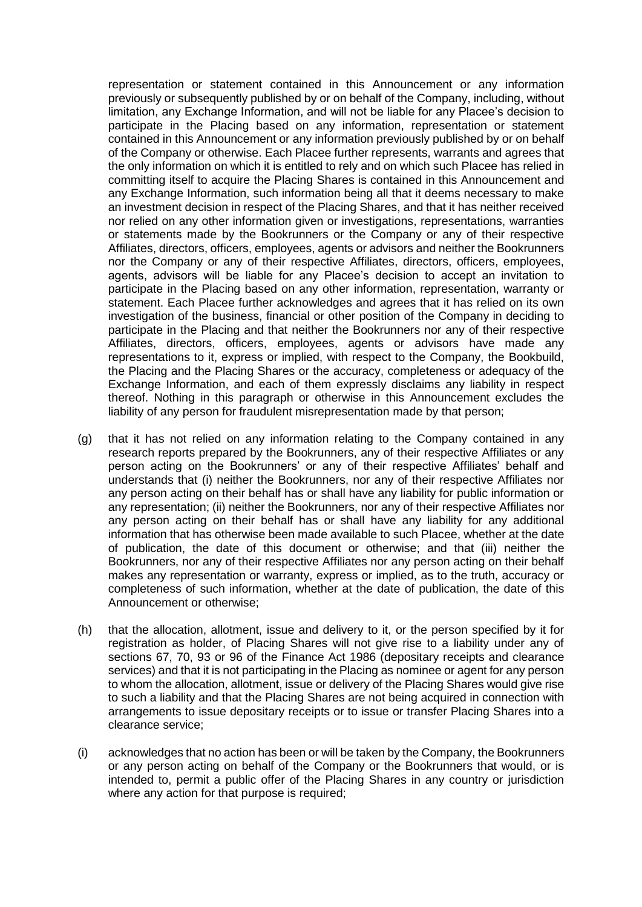representation or statement contained in this Announcement or any information previously or subsequently published by or on behalf of the Company, including, without limitation, any Exchange Information, and will not be liable for any Placee's decision to participate in the Placing based on any information, representation or statement contained in this Announcement or any information previously published by or on behalf of the Company or otherwise. Each Placee further represents, warrants and agrees that the only information on which it is entitled to rely and on which such Placee has relied in committing itself to acquire the Placing Shares is contained in this Announcement and any Exchange Information, such information being all that it deems necessary to make an investment decision in respect of the Placing Shares, and that it has neither received nor relied on any other information given or investigations, representations, warranties or statements made by the Bookrunners or the Company or any of their respective Affiliates, directors, officers, employees, agents or advisors and neither the Bookrunners nor the Company or any of their respective Affiliates, directors, officers, employees, agents, advisors will be liable for any Placee's decision to accept an invitation to participate in the Placing based on any other information, representation, warranty or statement. Each Placee further acknowledges and agrees that it has relied on its own investigation of the business, financial or other position of the Company in deciding to participate in the Placing and that neither the Bookrunners nor any of their respective Affiliates, directors, officers, employees, agents or advisors have made any representations to it, express or implied, with respect to the Company, the Bookbuild, the Placing and the Placing Shares or the accuracy, completeness or adequacy of the Exchange Information, and each of them expressly disclaims any liability in respect thereof. Nothing in this paragraph or otherwise in this Announcement excludes the liability of any person for fraudulent misrepresentation made by that person;

- (g) that it has not relied on any information relating to the Company contained in any research reports prepared by the Bookrunners, any of their respective Affiliates or any person acting on the Bookrunners' or any of their respective Affiliates' behalf and understands that (i) neither the Bookrunners, nor any of their respective Affiliates nor any person acting on their behalf has or shall have any liability for public information or any representation; (ii) neither the Bookrunners, nor any of their respective Affiliates nor any person acting on their behalf has or shall have any liability for any additional information that has otherwise been made available to such Placee, whether at the date of publication, the date of this document or otherwise; and that (iii) neither the Bookrunners, nor any of their respective Affiliates nor any person acting on their behalf makes any representation or warranty, express or implied, as to the truth, accuracy or completeness of such information, whether at the date of publication, the date of this Announcement or otherwise;
- (h) that the allocation, allotment, issue and delivery to it, or the person specified by it for registration as holder, of Placing Shares will not give rise to a liability under any of sections 67, 70, 93 or 96 of the Finance Act 1986 (depositary receipts and clearance services) and that it is not participating in the Placing as nominee or agent for any person to whom the allocation, allotment, issue or delivery of the Placing Shares would give rise to such a liability and that the Placing Shares are not being acquired in connection with arrangements to issue depositary receipts or to issue or transfer Placing Shares into a clearance service;
- (i) acknowledges that no action has been or will be taken by the Company, the Bookrunners or any person acting on behalf of the Company or the Bookrunners that would, or is intended to, permit a public offer of the Placing Shares in any country or jurisdiction where any action for that purpose is required;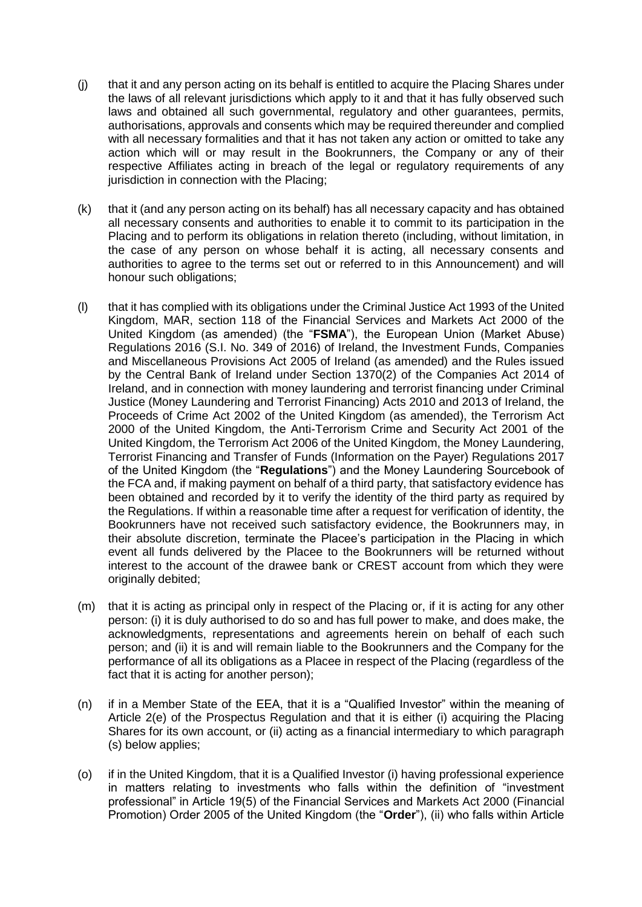- (j) that it and any person acting on its behalf is entitled to acquire the Placing Shares under the laws of all relevant jurisdictions which apply to it and that it has fully observed such laws and obtained all such governmental, regulatory and other guarantees, permits, authorisations, approvals and consents which may be required thereunder and complied with all necessary formalities and that it has not taken any action or omitted to take any action which will or may result in the Bookrunners, the Company or any of their respective Affiliates acting in breach of the legal or regulatory requirements of any jurisdiction in connection with the Placing;
- (k) that it (and any person acting on its behalf) has all necessary capacity and has obtained all necessary consents and authorities to enable it to commit to its participation in the Placing and to perform its obligations in relation thereto (including, without limitation, in the case of any person on whose behalf it is acting, all necessary consents and authorities to agree to the terms set out or referred to in this Announcement) and will honour such obligations;
- (l) that it has complied with its obligations under the Criminal Justice Act 1993 of the United Kingdom, MAR, section 118 of the Financial Services and Markets Act 2000 of the United Kingdom (as amended) (the "**FSMA**"), the European Union (Market Abuse) Regulations 2016 (S.I. No. 349 of 2016) of Ireland, the Investment Funds, Companies and Miscellaneous Provisions Act 2005 of Ireland (as amended) and the Rules issued by the Central Bank of Ireland under Section 1370(2) of the Companies Act 2014 of Ireland, and in connection with money laundering and terrorist financing under Criminal Justice (Money Laundering and Terrorist Financing) Acts 2010 and 2013 of Ireland, the Proceeds of Crime Act 2002 of the United Kingdom (as amended), the Terrorism Act 2000 of the United Kingdom, the Anti-Terrorism Crime and Security Act 2001 of the United Kingdom, the Terrorism Act 2006 of the United Kingdom, the Money Laundering, Terrorist Financing and Transfer of Funds (Information on the Payer) Regulations 2017 of the United Kingdom (the "**Regulations**") and the Money Laundering Sourcebook of the FCA and, if making payment on behalf of a third party, that satisfactory evidence has been obtained and recorded by it to verify the identity of the third party as required by the Regulations. If within a reasonable time after a request for verification of identity, the Bookrunners have not received such satisfactory evidence, the Bookrunners may, in their absolute discretion, terminate the Placee's participation in the Placing in which event all funds delivered by the Placee to the Bookrunners will be returned without interest to the account of the drawee bank or CREST account from which they were originally debited;
- (m) that it is acting as principal only in respect of the Placing or, if it is acting for any other person: (i) it is duly authorised to do so and has full power to make, and does make, the acknowledgments, representations and agreements herein on behalf of each such person; and (ii) it is and will remain liable to the Bookrunners and the Company for the performance of all its obligations as a Placee in respect of the Placing (regardless of the fact that it is acting for another person);
- (n) if in a Member State of the EEA, that it is a "Qualified Investor" within the meaning of Article 2(e) of the Prospectus Regulation and that it is either (i) acquiring the Placing Shares for its own account, or (ii) acting as a financial intermediary to which paragraph (s) below applies;
- (o) if in the United Kingdom, that it is a Qualified Investor (i) having professional experience in matters relating to investments who falls within the definition of "investment professional" in Article 19(5) of the Financial Services and Markets Act 2000 (Financial Promotion) Order 2005 of the United Kingdom (the "**Order**"), (ii) who falls within Article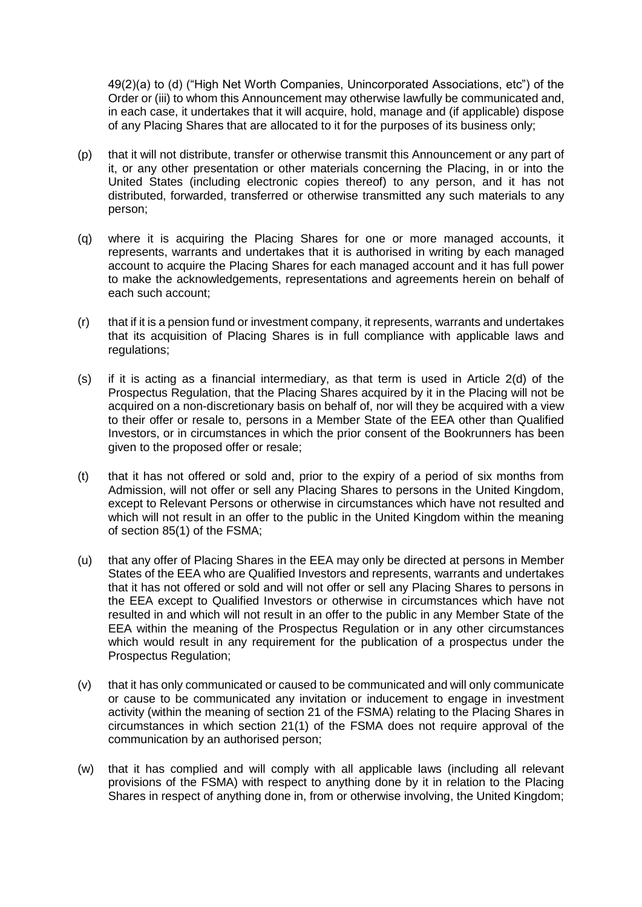49(2)(a) to (d) ("High Net Worth Companies, Unincorporated Associations, etc") of the Order or (iii) to whom this Announcement may otherwise lawfully be communicated and, in each case, it undertakes that it will acquire, hold, manage and (if applicable) dispose of any Placing Shares that are allocated to it for the purposes of its business only;

- (p) that it will not distribute, transfer or otherwise transmit this Announcement or any part of it, or any other presentation or other materials concerning the Placing, in or into the United States (including electronic copies thereof) to any person, and it has not distributed, forwarded, transferred or otherwise transmitted any such materials to any person;
- (q) where it is acquiring the Placing Shares for one or more managed accounts, it represents, warrants and undertakes that it is authorised in writing by each managed account to acquire the Placing Shares for each managed account and it has full power to make the acknowledgements, representations and agreements herein on behalf of each such account;
- (r) that if it is a pension fund or investment company, it represents, warrants and undertakes that its acquisition of Placing Shares is in full compliance with applicable laws and regulations;
- (s) if it is acting as a financial intermediary, as that term is used in Article 2(d) of the Prospectus Regulation, that the Placing Shares acquired by it in the Placing will not be acquired on a non-discretionary basis on behalf of, nor will they be acquired with a view to their offer or resale to, persons in a Member State of the EEA other than Qualified Investors, or in circumstances in which the prior consent of the Bookrunners has been given to the proposed offer or resale;
- (t) that it has not offered or sold and, prior to the expiry of a period of six months from Admission, will not offer or sell any Placing Shares to persons in the United Kingdom, except to Relevant Persons or otherwise in circumstances which have not resulted and which will not result in an offer to the public in the United Kingdom within the meaning of section 85(1) of the FSMA;
- (u) that any offer of Placing Shares in the EEA may only be directed at persons in Member States of the EEA who are Qualified Investors and represents, warrants and undertakes that it has not offered or sold and will not offer or sell any Placing Shares to persons in the EEA except to Qualified Investors or otherwise in circumstances which have not resulted in and which will not result in an offer to the public in any Member State of the EEA within the meaning of the Prospectus Regulation or in any other circumstances which would result in any requirement for the publication of a prospectus under the Prospectus Regulation;
- (v) that it has only communicated or caused to be communicated and will only communicate or cause to be communicated any invitation or inducement to engage in investment activity (within the meaning of section 21 of the FSMA) relating to the Placing Shares in circumstances in which section 21(1) of the FSMA does not require approval of the communication by an authorised person;
- (w) that it has complied and will comply with all applicable laws (including all relevant provisions of the FSMA) with respect to anything done by it in relation to the Placing Shares in respect of anything done in, from or otherwise involving, the United Kingdom;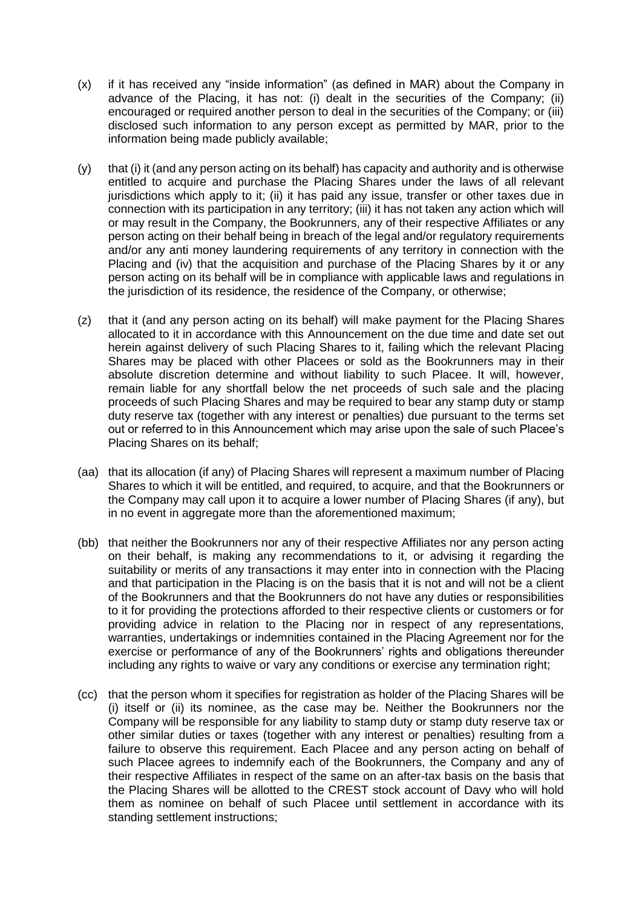- (x) if it has received any "inside information" (as defined in MAR) about the Company in advance of the Placing, it has not: (i) dealt in the securities of the Company; (ii) encouraged or required another person to deal in the securities of the Company; or (iii) disclosed such information to any person except as permitted by MAR, prior to the information being made publicly available;
- $(y)$  that (i) it (and any person acting on its behalf) has capacity and authority and is otherwise entitled to acquire and purchase the Placing Shares under the laws of all relevant jurisdictions which apply to it; (ii) it has paid any issue, transfer or other taxes due in connection with its participation in any territory; (iii) it has not taken any action which will or may result in the Company, the Bookrunners, any of their respective Affiliates or any person acting on their behalf being in breach of the legal and/or regulatory requirements and/or any anti money laundering requirements of any territory in connection with the Placing and (iv) that the acquisition and purchase of the Placing Shares by it or any person acting on its behalf will be in compliance with applicable laws and regulations in the jurisdiction of its residence, the residence of the Company, or otherwise;
- (z) that it (and any person acting on its behalf) will make payment for the Placing Shares allocated to it in accordance with this Announcement on the due time and date set out herein against delivery of such Placing Shares to it, failing which the relevant Placing Shares may be placed with other Placees or sold as the Bookrunners may in their absolute discretion determine and without liability to such Placee. It will, however, remain liable for any shortfall below the net proceeds of such sale and the placing proceeds of such Placing Shares and may be required to bear any stamp duty or stamp duty reserve tax (together with any interest or penalties) due pursuant to the terms set out or referred to in this Announcement which may arise upon the sale of such Placee's Placing Shares on its behalf;
- (aa) that its allocation (if any) of Placing Shares will represent a maximum number of Placing Shares to which it will be entitled, and required, to acquire, and that the Bookrunners or the Company may call upon it to acquire a lower number of Placing Shares (if any), but in no event in aggregate more than the aforementioned maximum:
- (bb) that neither the Bookrunners nor any of their respective Affiliates nor any person acting on their behalf, is making any recommendations to it, or advising it regarding the suitability or merits of any transactions it may enter into in connection with the Placing and that participation in the Placing is on the basis that it is not and will not be a client of the Bookrunners and that the Bookrunners do not have any duties or responsibilities to it for providing the protections afforded to their respective clients or customers or for providing advice in relation to the Placing nor in respect of any representations, warranties, undertakings or indemnities contained in the Placing Agreement nor for the exercise or performance of any of the Bookrunners' rights and obligations thereunder including any rights to waive or vary any conditions or exercise any termination right;
- (cc) that the person whom it specifies for registration as holder of the Placing Shares will be (i) itself or (ii) its nominee, as the case may be. Neither the Bookrunners nor the Company will be responsible for any liability to stamp duty or stamp duty reserve tax or other similar duties or taxes (together with any interest or penalties) resulting from a failure to observe this requirement. Each Placee and any person acting on behalf of such Placee agrees to indemnify each of the Bookrunners, the Company and any of their respective Affiliates in respect of the same on an after-tax basis on the basis that the Placing Shares will be allotted to the CREST stock account of Davy who will hold them as nominee on behalf of such Placee until settlement in accordance with its standing settlement instructions;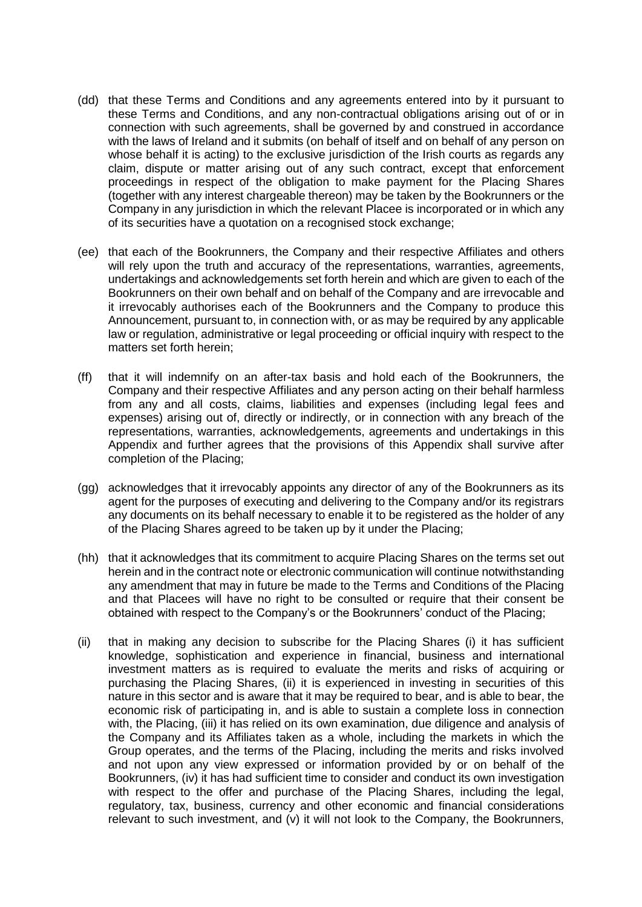- (dd) that these Terms and Conditions and any agreements entered into by it pursuant to these Terms and Conditions, and any non-contractual obligations arising out of or in connection with such agreements, shall be governed by and construed in accordance with the laws of Ireland and it submits (on behalf of itself and on behalf of any person on whose behalf it is acting) to the exclusive jurisdiction of the Irish courts as regards any claim, dispute or matter arising out of any such contract, except that enforcement proceedings in respect of the obligation to make payment for the Placing Shares (together with any interest chargeable thereon) may be taken by the Bookrunners or the Company in any jurisdiction in which the relevant Placee is incorporated or in which any of its securities have a quotation on a recognised stock exchange;
- (ee) that each of the Bookrunners, the Company and their respective Affiliates and others will rely upon the truth and accuracy of the representations, warranties, agreements, undertakings and acknowledgements set forth herein and which are given to each of the Bookrunners on their own behalf and on behalf of the Company and are irrevocable and it irrevocably authorises each of the Bookrunners and the Company to produce this Announcement, pursuant to, in connection with, or as may be required by any applicable law or regulation, administrative or legal proceeding or official inquiry with respect to the matters set forth herein;
- (ff) that it will indemnify on an after-tax basis and hold each of the Bookrunners, the Company and their respective Affiliates and any person acting on their behalf harmless from any and all costs, claims, liabilities and expenses (including legal fees and expenses) arising out of, directly or indirectly, or in connection with any breach of the representations, warranties, acknowledgements, agreements and undertakings in this Appendix and further agrees that the provisions of this Appendix shall survive after completion of the Placing;
- (gg) acknowledges that it irrevocably appoints any director of any of the Bookrunners as its agent for the purposes of executing and delivering to the Company and/or its registrars any documents on its behalf necessary to enable it to be registered as the holder of any of the Placing Shares agreed to be taken up by it under the Placing;
- (hh) that it acknowledges that its commitment to acquire Placing Shares on the terms set out herein and in the contract note or electronic communication will continue notwithstanding any amendment that may in future be made to the Terms and Conditions of the Placing and that Placees will have no right to be consulted or require that their consent be obtained with respect to the Company's or the Bookrunners' conduct of the Placing;
- (ii) that in making any decision to subscribe for the Placing Shares (i) it has sufficient knowledge, sophistication and experience in financial, business and international investment matters as is required to evaluate the merits and risks of acquiring or purchasing the Placing Shares, (ii) it is experienced in investing in securities of this nature in this sector and is aware that it may be required to bear, and is able to bear, the economic risk of participating in, and is able to sustain a complete loss in connection with, the Placing, (iii) it has relied on its own examination, due diligence and analysis of the Company and its Affiliates taken as a whole, including the markets in which the Group operates, and the terms of the Placing, including the merits and risks involved and not upon any view expressed or information provided by or on behalf of the Bookrunners, (iv) it has had sufficient time to consider and conduct its own investigation with respect to the offer and purchase of the Placing Shares, including the legal, regulatory, tax, business, currency and other economic and financial considerations relevant to such investment, and (v) it will not look to the Company, the Bookrunners,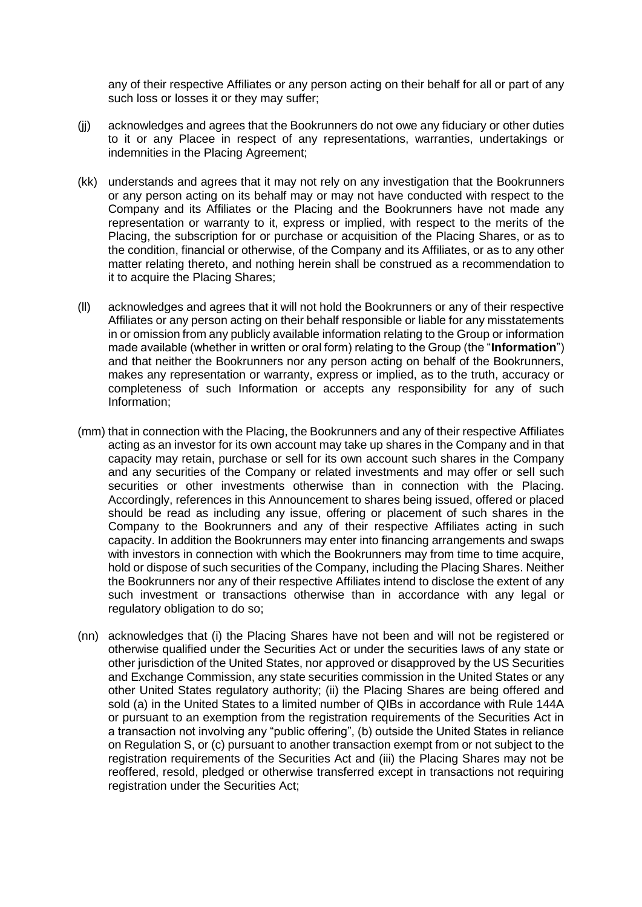any of their respective Affiliates or any person acting on their behalf for all or part of any such loss or losses it or they may suffer;

- (jj) acknowledges and agrees that the Bookrunners do not owe any fiduciary or other duties to it or any Placee in respect of any representations, warranties, undertakings or indemnities in the Placing Agreement;
- (kk) understands and agrees that it may not rely on any investigation that the Bookrunners or any person acting on its behalf may or may not have conducted with respect to the Company and its Affiliates or the Placing and the Bookrunners have not made any representation or warranty to it, express or implied, with respect to the merits of the Placing, the subscription for or purchase or acquisition of the Placing Shares, or as to the condition, financial or otherwise, of the Company and its Affiliates, or as to any other matter relating thereto, and nothing herein shall be construed as a recommendation to it to acquire the Placing Shares;
- (ll) acknowledges and agrees that it will not hold the Bookrunners or any of their respective Affiliates or any person acting on their behalf responsible or liable for any misstatements in or omission from any publicly available information relating to the Group or information made available (whether in written or oral form) relating to the Group (the "**Information**") and that neither the Bookrunners nor any person acting on behalf of the Bookrunners, makes any representation or warranty, express or implied, as to the truth, accuracy or completeness of such Information or accepts any responsibility for any of such Information;
- (mm) that in connection with the Placing, the Bookrunners and any of their respective Affiliates acting as an investor for its own account may take up shares in the Company and in that capacity may retain, purchase or sell for its own account such shares in the Company and any securities of the Company or related investments and may offer or sell such securities or other investments otherwise than in connection with the Placing. Accordingly, references in this Announcement to shares being issued, offered or placed should be read as including any issue, offering or placement of such shares in the Company to the Bookrunners and any of their respective Affiliates acting in such capacity. In addition the Bookrunners may enter into financing arrangements and swaps with investors in connection with which the Bookrunners may from time to time acquire, hold or dispose of such securities of the Company, including the Placing Shares. Neither the Bookrunners nor any of their respective Affiliates intend to disclose the extent of any such investment or transactions otherwise than in accordance with any legal or regulatory obligation to do so;
- (nn) acknowledges that (i) the Placing Shares have not been and will not be registered or otherwise qualified under the Securities Act or under the securities laws of any state or other jurisdiction of the United States, nor approved or disapproved by the US Securities and Exchange Commission, any state securities commission in the United States or any other United States regulatory authority; (ii) the Placing Shares are being offered and sold (a) in the United States to a limited number of QIBs in accordance with Rule 144A or pursuant to an exemption from the registration requirements of the Securities Act in a transaction not involving any "public offering", (b) outside the United States in reliance on Regulation S, or (c) pursuant to another transaction exempt from or not subject to the registration requirements of the Securities Act and (iii) the Placing Shares may not be reoffered, resold, pledged or otherwise transferred except in transactions not requiring registration under the Securities Act;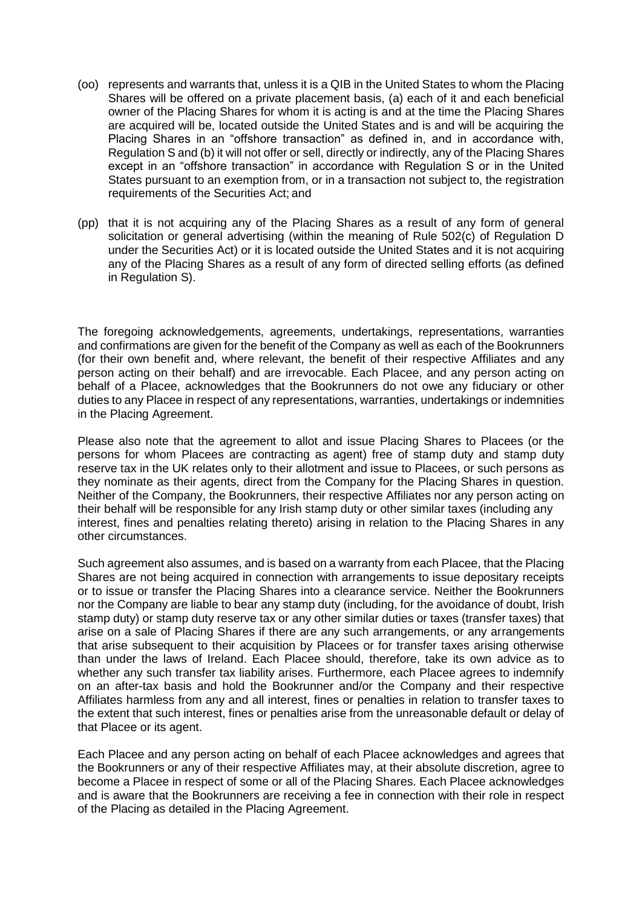- (oo) represents and warrants that, unless it is a QIB in the United States to whom the Placing Shares will be offered on a private placement basis, (a) each of it and each beneficial owner of the Placing Shares for whom it is acting is and at the time the Placing Shares are acquired will be, located outside the United States and is and will be acquiring the Placing Shares in an "offshore transaction" as defined in, and in accordance with, Regulation S and (b) it will not offer or sell, directly or indirectly, any of the Placing Shares except in an "offshore transaction" in accordance with Regulation S or in the United States pursuant to an exemption from, or in a transaction not subject to, the registration requirements of the Securities Act; and
- (pp) that it is not acquiring any of the Placing Shares as a result of any form of general solicitation or general advertising (within the meaning of Rule 502(c) of Regulation D under the Securities Act) or it is located outside the United States and it is not acquiring any of the Placing Shares as a result of any form of directed selling efforts (as defined in Regulation S).

The foregoing acknowledgements, agreements, undertakings, representations, warranties and confirmations are given for the benefit of the Company as well as each of the Bookrunners (for their own benefit and, where relevant, the benefit of their respective Affiliates and any person acting on their behalf) and are irrevocable. Each Placee, and any person acting on behalf of a Placee, acknowledges that the Bookrunners do not owe any fiduciary or other duties to any Placee in respect of any representations, warranties, undertakings or indemnities in the Placing Agreement.

Please also note that the agreement to allot and issue Placing Shares to Placees (or the persons for whom Placees are contracting as agent) free of stamp duty and stamp duty reserve tax in the UK relates only to their allotment and issue to Placees, or such persons as they nominate as their agents, direct from the Company for the Placing Shares in question. Neither of the Company, the Bookrunners, their respective Affiliates nor any person acting on their behalf will be responsible for any Irish stamp duty or other similar taxes (including any interest, fines and penalties relating thereto) arising in relation to the Placing Shares in any other circumstances.

Such agreement also assumes, and is based on a warranty from each Placee, that the Placing Shares are not being acquired in connection with arrangements to issue depositary receipts or to issue or transfer the Placing Shares into a clearance service. Neither the Bookrunners nor the Company are liable to bear any stamp duty (including, for the avoidance of doubt, Irish stamp duty) or stamp duty reserve tax or any other similar duties or taxes (transfer taxes) that arise on a sale of Placing Shares if there are any such arrangements, or any arrangements that arise subsequent to their acquisition by Placees or for transfer taxes arising otherwise than under the laws of Ireland. Each Placee should, therefore, take its own advice as to whether any such transfer tax liability arises. Furthermore, each Placee agrees to indemnify on an after-tax basis and hold the Bookrunner and/or the Company and their respective Affiliates harmless from any and all interest, fines or penalties in relation to transfer taxes to the extent that such interest, fines or penalties arise from the unreasonable default or delay of that Placee or its agent.

Each Placee and any person acting on behalf of each Placee acknowledges and agrees that the Bookrunners or any of their respective Affiliates may, at their absolute discretion, agree to become a Placee in respect of some or all of the Placing Shares. Each Placee acknowledges and is aware that the Bookrunners are receiving a fee in connection with their role in respect of the Placing as detailed in the Placing Agreement.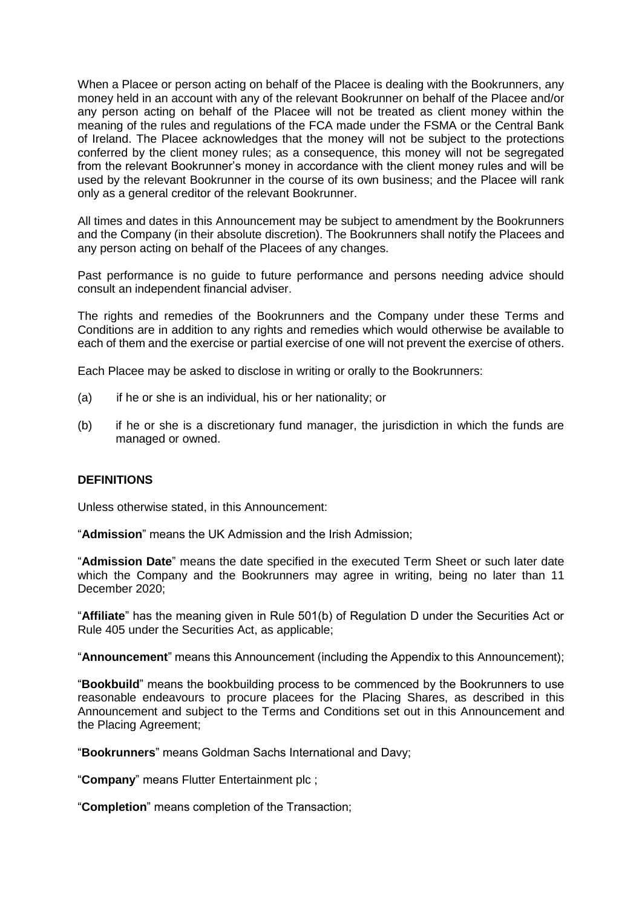When a Placee or person acting on behalf of the Placee is dealing with the Bookrunners, any money held in an account with any of the relevant Bookrunner on behalf of the Placee and/or any person acting on behalf of the Placee will not be treated as client money within the meaning of the rules and regulations of the FCA made under the FSMA or the Central Bank of Ireland. The Placee acknowledges that the money will not be subject to the protections conferred by the client money rules; as a consequence, this money will not be segregated from the relevant Bookrunner's money in accordance with the client money rules and will be used by the relevant Bookrunner in the course of its own business; and the Placee will rank only as a general creditor of the relevant Bookrunner.

All times and dates in this Announcement may be subject to amendment by the Bookrunners and the Company (in their absolute discretion). The Bookrunners shall notify the Placees and any person acting on behalf of the Placees of any changes.

Past performance is no guide to future performance and persons needing advice should consult an independent financial adviser.

The rights and remedies of the Bookrunners and the Company under these Terms and Conditions are in addition to any rights and remedies which would otherwise be available to each of them and the exercise or partial exercise of one will not prevent the exercise of others.

Each Placee may be asked to disclose in writing or orally to the Bookrunners:

- (a) if he or she is an individual, his or her nationality; or
- (b) if he or she is a discretionary fund manager, the jurisdiction in which the funds are managed or owned.

#### **DEFINITIONS**

Unless otherwise stated, in this Announcement:

"**Admission**" means the UK Admission and the Irish Admission;

"**Admission Date**" means the date specified in the executed Term Sheet or such later date which the Company and the Bookrunners may agree in writing, being no later than 11 December 2020;

"**Affiliate**" has the meaning given in Rule 501(b) of Regulation D under the Securities Act or Rule 405 under the Securities Act, as applicable;

"**Announcement**" means this Announcement (including the Appendix to this Announcement);

"**Bookbuild**" means the bookbuilding process to be commenced by the Bookrunners to use reasonable endeavours to procure placees for the Placing Shares, as described in this Announcement and subject to the Terms and Conditions set out in this Announcement and the Placing Agreement;

"**Bookrunners**" means Goldman Sachs International and Davy;

"**Company**" means Flutter Entertainment plc ;

"**Completion**" means completion of the Transaction;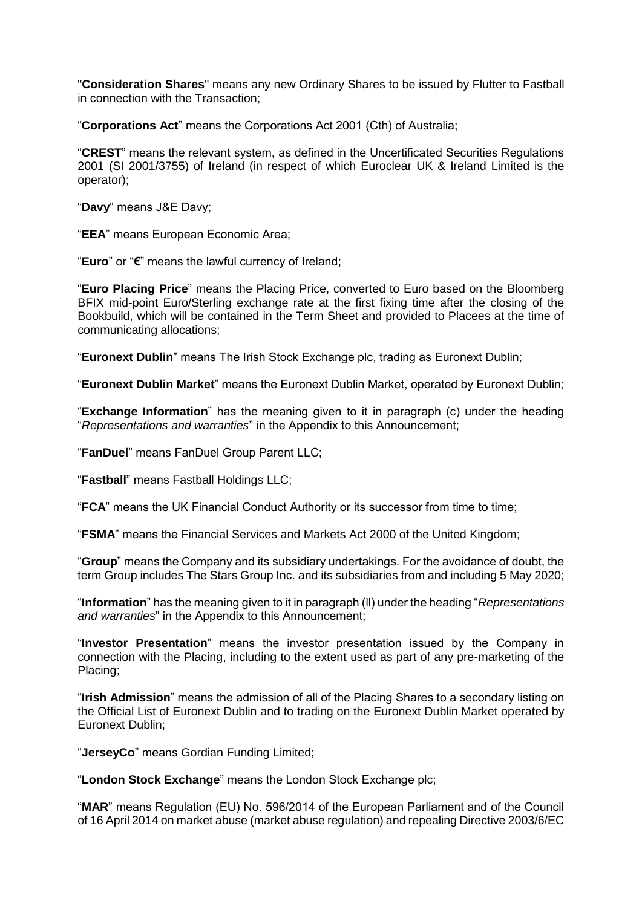"**Consideration Shares**" means any new Ordinary Shares to be issued by Flutter to Fastball in connection with the Transaction;

"**Corporations Act**" means the Corporations Act 2001 (Cth) of Australia;

"**CREST**" means the relevant system, as defined in the Uncertificated Securities Regulations 2001 (SI 2001/3755) of Ireland (in respect of which Euroclear UK & Ireland Limited is the operator);

"**Davy**" means J&E Davy;

"**EEA**" means European Economic Area;

"**Euro**" or "**€**" means the lawful currency of Ireland;

"**Euro Placing Price**" means the Placing Price, converted to Euro based on the Bloomberg BFIX mid-point Euro/Sterling exchange rate at the first fixing time after the closing of the Bookbuild, which will be contained in the Term Sheet and provided to Placees at the time of communicating allocations;

"**Euronext Dublin**" means The Irish Stock Exchange plc, trading as Euronext Dublin;

"**Euronext Dublin Market**" means the Euronext Dublin Market, operated by Euronext Dublin;

"**Exchange Information**" has the meaning given to it in paragraph (c) under the heading "*Representations and warranties*" in the Appendix to this Announcement;

"**FanDuel**" means FanDuel Group Parent LLC;

"**Fastball**" means Fastball Holdings LLC;

"**FCA**" means the UK Financial Conduct Authority or its successor from time to time;

"**FSMA**" means the Financial Services and Markets Act 2000 of the United Kingdom;

"**Group**" means the Company and its subsidiary undertakings. For the avoidance of doubt, the term Group includes The Stars Group Inc. and its subsidiaries from and including 5 May 2020;

"**Information**" has the meaning given to it in paragraph (ll) under the heading "*Representations and warranties*" in the Appendix to this Announcement;

"**Investor Presentation**" means the investor presentation issued by the Company in connection with the Placing, including to the extent used as part of any pre-marketing of the Placing;

"**Irish Admission**" means the admission of all of the Placing Shares to a secondary listing on the Official List of Euronext Dublin and to trading on the Euronext Dublin Market operated by Euronext Dublin;

"**JerseyCo**" means Gordian Funding Limited;

"**London Stock Exchange**" means the London Stock Exchange plc;

"**MAR**" means Regulation (EU) No. 596/2014 of the European Parliament and of the Council of 16 April 2014 on market abuse (market abuse regulation) and repealing Directive 2003/6/EC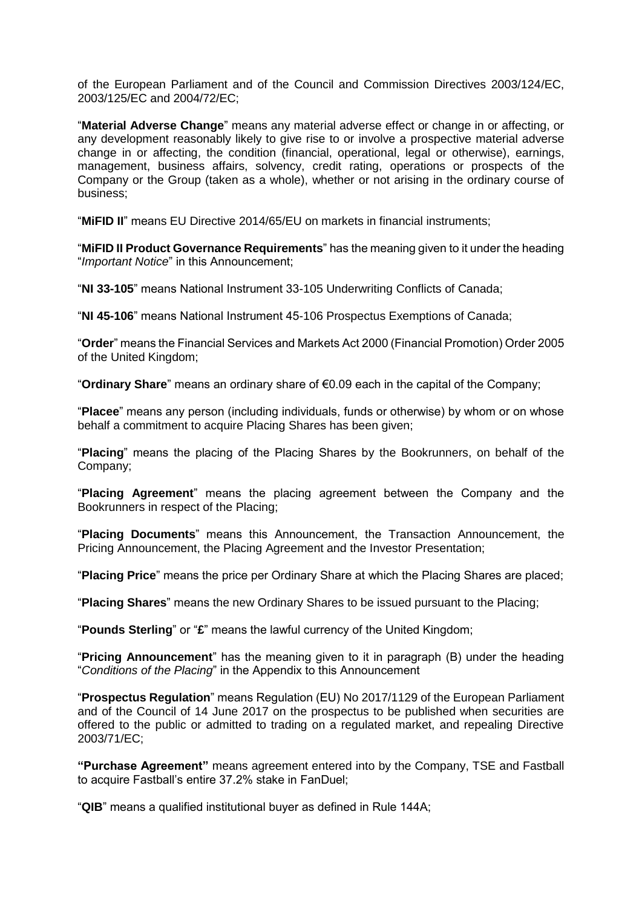of the European Parliament and of the Council and Commission Directives 2003/124/EC, 2003/125/EC and 2004/72/EC;

"**Material Adverse Change**" means any material adverse effect or change in or affecting, or any development reasonably likely to give rise to or involve a prospective material adverse change in or affecting, the condition (financial, operational, legal or otherwise), earnings, management, business affairs, solvency, credit rating, operations or prospects of the Company or the Group (taken as a whole), whether or not arising in the ordinary course of business;

"**MiFID II**" means EU Directive 2014/65/EU on markets in financial instruments;

"**MiFID II Product Governance Requirements**" has the meaning given to it under the heading "*Important Notice*" in this Announcement;

"**NI 33-105**" means National Instrument 33-105 Underwriting Conflicts of Canada;

"**NI 45-106**" means National Instrument 45-106 Prospectus Exemptions of Canada;

"**Order**" means the Financial Services and Markets Act 2000 (Financial Promotion) Order 2005 of the United Kingdom;

"**Ordinary Share**" means an ordinary share of €0.09 each in the capital of the Company;

"**Placee**" means any person (including individuals, funds or otherwise) by whom or on whose behalf a commitment to acquire Placing Shares has been given;

"**Placing**" means the placing of the Placing Shares by the Bookrunners, on behalf of the Company;

"**Placing Agreement**" means the placing agreement between the Company and the Bookrunners in respect of the Placing;

"**Placing Documents**" means this Announcement, the Transaction Announcement, the Pricing Announcement, the Placing Agreement and the Investor Presentation;

"**Placing Price**" means the price per Ordinary Share at which the Placing Shares are placed;

"**Placing Shares**" means the new Ordinary Shares to be issued pursuant to the Placing;

"**Pounds Sterling**" or "**£**" means the lawful currency of the United Kingdom;

"**Pricing Announcement**" has the meaning given to it in paragraph (B) under the heading "*Conditions of the Placing*" in the Appendix to this Announcement

"**Prospectus Regulation**" means Regulation (EU) No 2017/1129 of the European Parliament and of the Council of 14 June 2017 on the prospectus to be published when securities are offered to the public or admitted to trading on a regulated market, and repealing Directive 2003/71/EC;

**"Purchase Agreement"** means agreement entered into by the Company, TSE and Fastball to acquire Fastball's entire 37.2% stake in FanDuel;

"**QIB**" means a qualified institutional buyer as defined in Rule 144A;